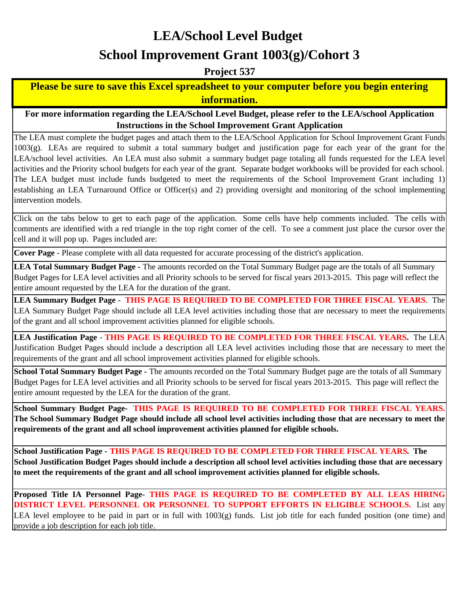# **LEA/School Level Budget**

# **School Improvement Grant 1003(g)/Cohort 3**

**Project 537**

#### **Please be sure to save this Excel spreadsheet to your computer before you begin entering information.**

**For more information regarding the LEA/School Level Budget, please refer to the LEA/school Application Instructions in the School Improvement Grant Application**

The LEA must complete the budget pages and attach them to the LEA/School Application for School Improvement Grant Funds  $1003(g)$ . LEAs are required to submit a total summary budget and justification page for each year of the grant for the LEA/school level activities. An LEA must also submit a summary budget page totaling all funds requested for the LEA level activities and the Priority school budgets for each year of the grant. Separate budget workbooks will be provided for each school. The LEA budget must include funds budgeted to meet the requirements of the School Improvement Grant including 1) establishing an LEA Turnaround Office or Officer(s) and 2) providing oversight and monitoring of the school implementing intervention models.

Click on the tabs below to get to each page of the application. Some cells have help comments included. The cells with comments are identified with a red triangle in the top right corner of the cell. To see a comment just place the cursor over the cell and it will pop up. Pages included are:

**Cover Page** - Please complete with all data requested for accurate processing of the district's application.

**LEA Total Summary Budget Page -** The amounts recorded on the Total Summary Budget page are the totals of all Summary Budget Pages for LEA level activities and all Priority schools to be served for fiscal years 2013-2015. This page will reflect the entire amount requested by the LEA for the duration of the grant.

**LEA Summary Budget Page** - **THIS PAGE IS REQUIRED TO BE COMPLETED FOR THREE FISCAL YEARS**. The LEA Summary Budget Page should include all LEA level activities including those that are necessary to meet the requirements of the grant and all school improvement activities planned for eligible schools.

**LEA Justification Page** - **THIS PAGE IS REQUIRED TO BE COMPLETED FOR THREE FISCAL YEARS.** The LEA Justification Budget Pages should include a description all LEA level activities including those that are necessary to meet the requirements of the grant and all school improvement activities planned for eligible schools.

**School Total Summary Budget Page -** The amounts recorded on the Total Summary Budget page are the totals of all Summary Budget Pages for LEA level activities and all Priority schools to be served for fiscal years 2013-2015. This page will reflect the entire amount requested by the LEA for the duration of the grant.

**School Summary Budget Page- THIS PAGE IS REQUIRED TO BE COMPLETED FOR THREE FISCAL YEARS. The School Summary Budget Page should include all school level activities including those that are necessary to meet the requirements of the grant and all school improvement activities planned for eligible schools.**

**School Justification Page - THIS PAGE IS REQUIRED TO BE COMPLETED FOR THREE FISCAL YEARS. The School Justification Budget Pages should include a description all school level activities including those that are necessary to meet the requirements of the grant and all school improvement activities planned for eligible schools.**

**Proposed Title IA Personnel Page- THIS PAGE IS REQUIRED TO BE COMPLETED BY ALL LEAS HIRING DISTRICT LEVEL PERSONNEL OR PERSONNEL TO SUPPORT EFFORTS IN ELIGIBLE SCHOOLS.** List any LEA level employee to be paid in part or in full with 1003(g) funds. List job title for each funded position (one time) and provide a job description for each job title.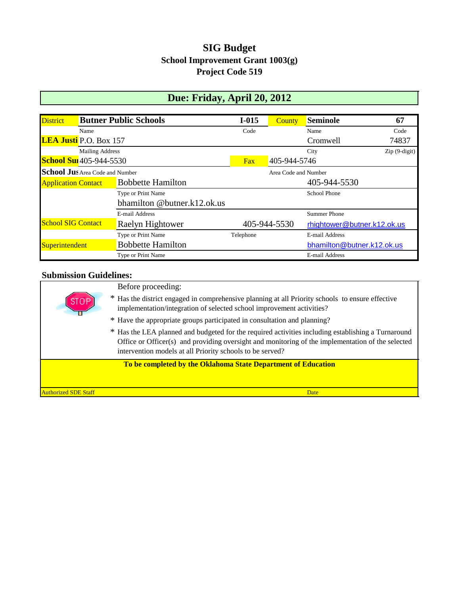### **SIG Budget School Improvement Grant 1003(g) Project Code 519**

# **Due: Friday, April 20, 2012**

| <b>District</b>                 |                        | <b>Butner Public Schools</b> | $I-015$      | County               | <b>Seminole</b>             | 67             |
|---------------------------------|------------------------|------------------------------|--------------|----------------------|-----------------------------|----------------|
| Name                            |                        |                              | Code         |                      | Name                        | Code           |
| LEA Justi P.O. Box 157          |                        |                              |              |                      | Cromwell                    | 74837          |
|                                 | <b>Mailing Address</b> |                              | City         |                      |                             | $Zip(9-digit)$ |
| <b>School Sui</b> 405-944-5530  |                        |                              | Fax          | 405-944-5746         |                             |                |
| School Jus Area Code and Number |                        |                              |              | Area Code and Number |                             |                |
| <b>Application Contact</b>      |                        | <b>Bobbette Hamilton</b>     | 405-944-5530 |                      |                             |                |
|                                 |                        | Type or Print Name           |              |                      | <b>School Phone</b>         |                |
|                                 |                        | bhamilton @butner.k12.ok.us  |              |                      |                             |                |
|                                 |                        | E-mail Address               |              |                      | <b>Summer Phone</b>         |                |
| <b>School SIG Contact</b>       |                        | Raelyn Hightower             |              | 405-944-5530         | rhightower@butner.k12.ok.us |                |
|                                 |                        | Type or Print Name           | Telephone    |                      | E-mail Address              |                |
| Superintendent                  |                        | <b>Bobbette Hamilton</b>     |              |                      | bhamilton@butner.k12.ok.us  |                |
|                                 |                        | Type or Print Name           |              |                      | E-mail Address              |                |

#### **Submission Guidelines:**

| <b>Authorized SDE Staff</b> | <b>Date</b>                                                                                                                                                                                                                                                                                                                                      |
|-----------------------------|--------------------------------------------------------------------------------------------------------------------------------------------------------------------------------------------------------------------------------------------------------------------------------------------------------------------------------------------------|
|                             | To be completed by the Oklahoma State Department of Education                                                                                                                                                                                                                                                                                    |
|                             | * Have the appropriate groups participated in consultation and planning?<br>* Has the LEA planned and budgeted for the required activities including establishing a Turnaround<br>Office or Officer(s) and providing oversight and monitoring of the implementation of the selected<br>intervention models at all Priority schools to be served? |
|                             | Before proceeding:<br>* Has the district engaged in comprehensive planning at all Priority schools to ensure effective<br>implementation/integration of selected school improvement activities?                                                                                                                                                  |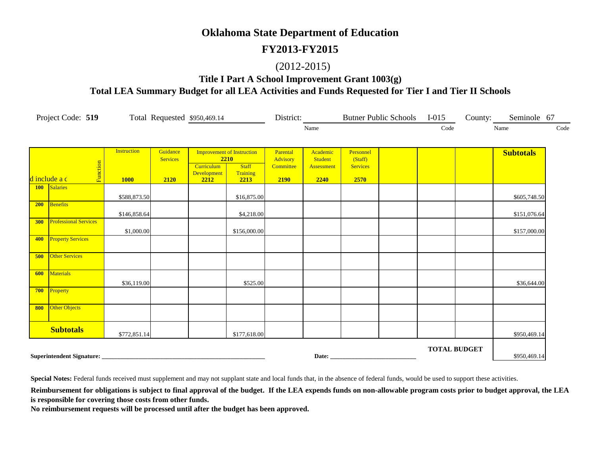#### **FY2013-FY2015**

#### (2012-2015)

**Title I Part A School Improvement Grant 1003(g) Total LEA Summary Budget for all LEA Activities and Funds Requested for Tier I and Tier II Schools**

|     | Project Code: 519            |                    |                             | Total Requested \$950,469.14 |                                                           |                                   | District:                         |                                         | Butner Public Schools I-015 |                     | County: Seminole 67 |      |
|-----|------------------------------|--------------------|-----------------------------|------------------------------|-----------------------------------------------------------|-----------------------------------|-----------------------------------|-----------------------------------------|-----------------------------|---------------------|---------------------|------|
|     |                              |                    |                             |                              |                                                           |                                   | Name                              |                                         |                             | Code                | Name                | Code |
|     |                              |                    |                             |                              |                                                           |                                   |                                   |                                         |                             |                     |                     |      |
|     |                              | <b>Instruction</b> | Guidance<br><b>Services</b> | <b>Curriculum</b>            | <b>Improvement of Instruction</b><br>2210<br><b>Staff</b> | Parental<br>Advisory<br>Committee | Academic<br>Student<br>Assessment | Personnel<br>(Staff)<br><b>Services</b> |                             |                     | <b>Subtotals</b>    |      |
|     | Function<br>d include a c    | <b>1000</b>        | 2120                        | Development<br>2212          | Training<br>2213                                          | 2190                              | 2240                              | 2570                                    |                             |                     |                     |      |
|     | 100 Salaries                 | \$588,873.50       |                             |                              | \$16,875.00                                               |                                   |                                   |                                         |                             |                     | \$605,748.50        |      |
| 200 | Benefits                     | \$146,858.64       |                             |                              | \$4,218.00                                                |                                   |                                   |                                         |                             |                     | \$151,076.64        |      |
| 300 | <b>Professional Services</b> | \$1,000.00         |                             |                              | \$156,000.00                                              |                                   |                                   |                                         |                             |                     | \$157,000.00        |      |
| 400 | <b>Property Services</b>     |                    |                             |                              |                                                           |                                   |                                   |                                         |                             |                     |                     |      |
| 500 | <b>Other Services</b>        |                    |                             |                              |                                                           |                                   |                                   |                                         |                             |                     |                     |      |
| 600 | Materials                    | \$36,119.00        |                             |                              | \$525.00                                                  |                                   |                                   |                                         |                             |                     | \$36,644.00         |      |
| 700 | Property                     |                    |                             |                              |                                                           |                                   |                                   |                                         |                             |                     |                     |      |
| 800 | Other Objects                |                    |                             |                              |                                                           |                                   |                                   |                                         |                             |                     |                     |      |
|     | <b>Subtotals</b>             | \$772,851.14       |                             |                              | \$177,618.00                                              |                                   |                                   |                                         |                             |                     | \$950,469.14        |      |
|     | Superintendent Signature:    |                    |                             |                              |                                                           |                                   |                                   | Date: <u>Date:</u>                      |                             | <b>TOTAL BUDGET</b> | \$950,469.14        |      |

**Special Notes:** Federal funds received must supplement and may not supplant state and local funds that, in the absence of federal funds, would be used to support these activities.

Reimbursement for obligations is subject to final approval of the budget. If the LEA expends funds on non-allowable program costs prior to budget approval, the LEA **is responsible for covering those costs from other funds.**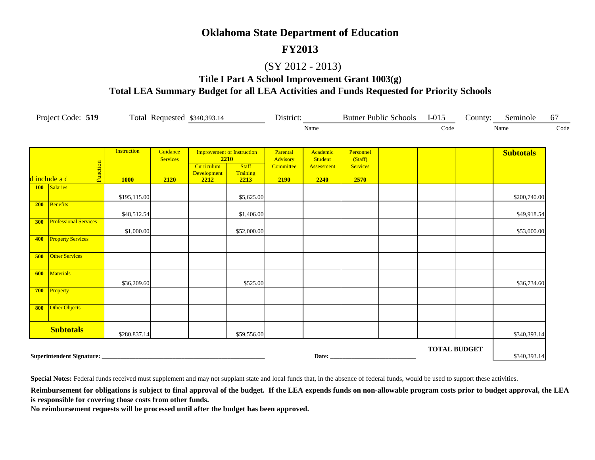#### **FY2013**

#### (SY 2012 - 2013)

#### **Title I Part A School Improvement Grant 1003(g) Total LEA Summary Budget for all LEA Activities and Funds Requested for Priority Schools**

|     | Project Code: 519            |                                   |                                     | Total Requested \$340,393.14      |                                                                               |                                           | District:                                 |                                                 | Butner Public Schools I-015 |                     | County: Seminole | 67   |
|-----|------------------------------|-----------------------------------|-------------------------------------|-----------------------------------|-------------------------------------------------------------------------------|-------------------------------------------|-------------------------------------------|-------------------------------------------------|-----------------------------|---------------------|------------------|------|
|     |                              |                                   |                                     |                                   |                                                                               |                                           | Name                                      |                                                 |                             | Code                | Name             | Code |
|     | Function<br>d include a c    | <b>Instruction</b><br><b>1000</b> | Guidance<br><b>Services</b><br>2120 | Curriculum<br>Development<br>2212 | <b>Improvement of Instruction</b><br>2210<br><b>Staff</b><br>Training<br>2213 | Parental<br>Advisory<br>Committee<br>2190 | Academic<br>Student<br>Assessment<br>2240 | Personnel<br>(Staff)<br><b>Services</b><br>2570 |                             |                     | <b>Subtotals</b> |      |
|     | 100 Salaries                 | \$195,115.00                      |                                     |                                   | \$5,625.00                                                                    |                                           |                                           |                                                 |                             |                     | \$200,740.00     |      |
| 200 | Benefits                     | \$48,512.54                       |                                     |                                   | \$1,406.00                                                                    |                                           |                                           |                                                 |                             |                     | \$49,918.54      |      |
| 300 | <b>Professional Services</b> | \$1,000.00                        |                                     |                                   | \$52,000.00                                                                   |                                           |                                           |                                                 |                             |                     | \$53,000.00      |      |
| 400 | <b>Property Services</b>     |                                   |                                     |                                   |                                                                               |                                           |                                           |                                                 |                             |                     |                  |      |
| 500 | <b>Other Services</b>        |                                   |                                     |                                   |                                                                               |                                           |                                           |                                                 |                             |                     |                  |      |
| 600 | Materials                    | \$36,209.60                       |                                     |                                   | \$525.00                                                                      |                                           |                                           |                                                 |                             |                     | \$36,734.60      |      |
| 700 | Property                     |                                   |                                     |                                   |                                                                               |                                           |                                           |                                                 |                             |                     |                  |      |
| 800 | Other Objects                |                                   |                                     |                                   |                                                                               |                                           |                                           |                                                 |                             |                     |                  |      |
|     | <b>Subtotals</b>             | \$280,837.14                      |                                     |                                   | \$59,556.00                                                                   |                                           |                                           |                                                 |                             |                     | \$340,393.14     |      |
|     |                              |                                   |                                     |                                   |                                                                               |                                           |                                           | Date: <u>Date:</u>                              |                             | <b>TOTAL BUDGET</b> | \$340,393.14     |      |

**Special Notes:** Federal funds received must supplement and may not supplant state and local funds that, in the absence of federal funds, would be used to support these activities.

Reimbursement for obligations is subject to final approval of the budget. If the LEA expends funds on non-allowable program costs prior to budget approval, the LEA **is responsible for covering those costs from other funds.**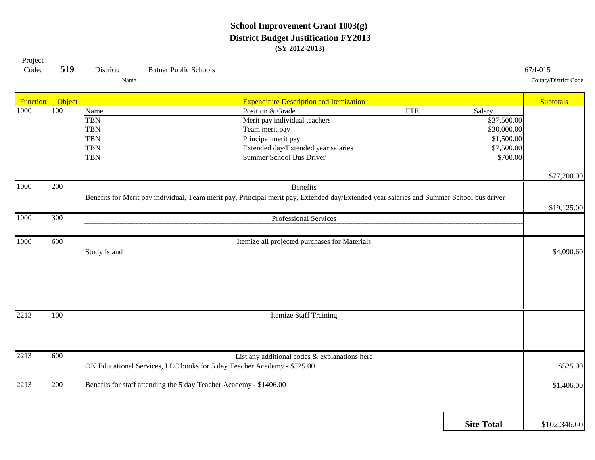#### **School Improvement Grant 1003(g) District Budget Justification FY2013 (SY 2012-2013)**

| Project<br>Code: | 519              | District:                                                                  | <b>Butner Public Schools</b>                                            |                                                                                                                                                               |            |                                                                              | $67/I - 015$         |
|------------------|------------------|----------------------------------------------------------------------------|-------------------------------------------------------------------------|---------------------------------------------------------------------------------------------------------------------------------------------------------------|------------|------------------------------------------------------------------------------|----------------------|
|                  |                  | Name                                                                       |                                                                         |                                                                                                                                                               |            |                                                                              | County/District Code |
| Function         | Object           |                                                                            |                                                                         | <b>Expenditure Description and Itemization</b>                                                                                                                |            |                                                                              | <b>Subtotals</b>     |
| 1000             | $\overline{100}$ | Name<br><b>TBN</b><br><b>TBN</b><br><b>TBN</b><br><b>TBN</b><br><b>TBN</b> |                                                                         | Position & Grade<br>Merit pay individual teachers<br>Team merit pay<br>Principal merit pay<br>Extended day/Extended year salaries<br>Summer School Bus Driver | <b>FTE</b> | Salary<br>\$37,500.00<br>\$30,000.00<br>\$1,500.00<br>\$7,500.00<br>\$700.00 |                      |
|                  |                  |                                                                            |                                                                         |                                                                                                                                                               |            |                                                                              | \$77,200.00          |
| 1000             | 200              |                                                                            |                                                                         | <b>Benefits</b>                                                                                                                                               |            |                                                                              |                      |
|                  |                  |                                                                            |                                                                         | Benefits for Merit pay individual, Team merit pay, Principal merit pay, Extended day/Extended year salaries and Summer School bus driver                      |            |                                                                              | \$19,125.00          |
| 1000             | 300              |                                                                            |                                                                         | Professional Services                                                                                                                                         |            |                                                                              |                      |
| 1000             | 600              |                                                                            |                                                                         | Itemize all projected purchases for Materials                                                                                                                 |            |                                                                              |                      |
|                  |                  | <b>Study Island</b>                                                        |                                                                         |                                                                                                                                                               |            |                                                                              | \$4,090.60           |
| 2213             | 100              |                                                                            |                                                                         | <b>Itemize Staff Training</b>                                                                                                                                 |            |                                                                              |                      |
|                  |                  |                                                                            |                                                                         |                                                                                                                                                               |            |                                                                              |                      |
| 2213             | 600              |                                                                            | OK Educational Services, LLC books for 5 day Teacher Academy - \$525.00 | List any additional codes & explanations here                                                                                                                 |            |                                                                              | \$525.00             |
| 2213             | 200              |                                                                            | Benefits for staff attending the 5 day Teacher Academy - \$1406.00      |                                                                                                                                                               |            |                                                                              | \$1,406.00           |
|                  |                  |                                                                            |                                                                         |                                                                                                                                                               |            | <b>Site Total</b>                                                            | \$102,346.60         |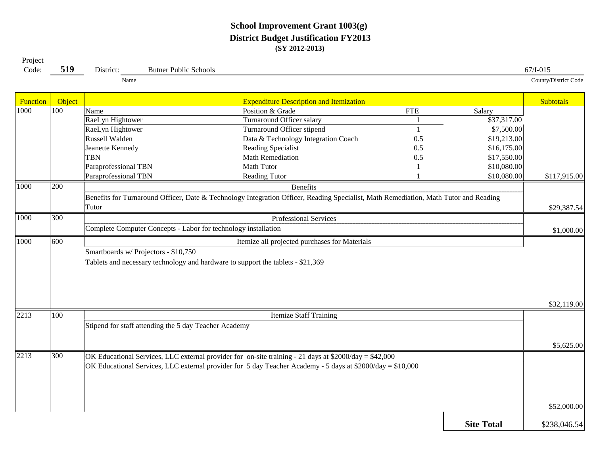#### **School Improvement Grant 1003(g) District Budget Justification FY2013 (SY 2012-2013)**

Project

| Name<br>Object<br><b>Expenditure Description and Itemization</b><br><b>Function</b><br><b>Subtotals</b><br>$\overline{100}$<br>1000<br>Position & Grade<br><b>FTE</b><br>Name<br>Salary<br>\$37,317.00<br>RaeLyn Hightower<br>Turnaround Officer salary<br>Turnaround Officer stipend<br>\$7,500.00<br>RaeLyn Hightower<br>Russell Walden<br>Data & Technology Integration Coach<br>\$19,213.00<br>0.5<br>Jeanette Kennedy<br>Reading Specialist<br>\$16,175.00<br>0.5<br><b>TBN</b><br><b>Math Remediation</b><br>0.5<br>\$17,550.00<br>Paraprofessional TBN<br>Math Tutor<br>\$10,080.00<br>Paraprofessional TBN<br><b>Reading Tutor</b><br>\$10,080.00<br>1000<br>200<br>Benefits<br>Benefits for Turnaround Officer, Date & Technology Integration Officer, Reading Specialist, Math Remediation, Math Tutor and Reading<br>Tutor<br>1000<br>300<br>Professional Services<br>Complete Computer Concepts - Labor for technology installation<br>1000<br>600<br>Itemize all projected purchases for Materials<br>Smartboards w/ Projectors - \$10,750<br>Tablets and necessary technology and hardware to support the tablets - \$21,369<br>2213<br>100<br><b>Itemize Staff Training</b><br>Stipend for staff attending the 5 day Teacher Academy<br>2213<br>300<br>OK Educational Services, LLC external provider for on-site training - 21 days at \$2000/day = \$42,000<br>OK Educational Services, LLC external provider for 5 day Teacher Academy - 5 days at \$2000/day = $$10,000$ | Code: | 519 | District: | <b>Butner Public Schools</b> |  | $67/I - 015$         |
|---------------------------------------------------------------------------------------------------------------------------------------------------------------------------------------------------------------------------------------------------------------------------------------------------------------------------------------------------------------------------------------------------------------------------------------------------------------------------------------------------------------------------------------------------------------------------------------------------------------------------------------------------------------------------------------------------------------------------------------------------------------------------------------------------------------------------------------------------------------------------------------------------------------------------------------------------------------------------------------------------------------------------------------------------------------------------------------------------------------------------------------------------------------------------------------------------------------------------------------------------------------------------------------------------------------------------------------------------------------------------------------------------------------------------------------------------------------------------------------------|-------|-----|-----------|------------------------------|--|----------------------|
|                                                                                                                                                                                                                                                                                                                                                                                                                                                                                                                                                                                                                                                                                                                                                                                                                                                                                                                                                                                                                                                                                                                                                                                                                                                                                                                                                                                                                                                                                             |       |     |           |                              |  | County/District Code |
|                                                                                                                                                                                                                                                                                                                                                                                                                                                                                                                                                                                                                                                                                                                                                                                                                                                                                                                                                                                                                                                                                                                                                                                                                                                                                                                                                                                                                                                                                             |       |     |           |                              |  |                      |
|                                                                                                                                                                                                                                                                                                                                                                                                                                                                                                                                                                                                                                                                                                                                                                                                                                                                                                                                                                                                                                                                                                                                                                                                                                                                                                                                                                                                                                                                                             |       |     |           |                              |  |                      |
|                                                                                                                                                                                                                                                                                                                                                                                                                                                                                                                                                                                                                                                                                                                                                                                                                                                                                                                                                                                                                                                                                                                                                                                                                                                                                                                                                                                                                                                                                             |       |     |           |                              |  |                      |
|                                                                                                                                                                                                                                                                                                                                                                                                                                                                                                                                                                                                                                                                                                                                                                                                                                                                                                                                                                                                                                                                                                                                                                                                                                                                                                                                                                                                                                                                                             |       |     |           |                              |  |                      |
|                                                                                                                                                                                                                                                                                                                                                                                                                                                                                                                                                                                                                                                                                                                                                                                                                                                                                                                                                                                                                                                                                                                                                                                                                                                                                                                                                                                                                                                                                             |       |     |           |                              |  |                      |
|                                                                                                                                                                                                                                                                                                                                                                                                                                                                                                                                                                                                                                                                                                                                                                                                                                                                                                                                                                                                                                                                                                                                                                                                                                                                                                                                                                                                                                                                                             |       |     |           |                              |  |                      |
|                                                                                                                                                                                                                                                                                                                                                                                                                                                                                                                                                                                                                                                                                                                                                                                                                                                                                                                                                                                                                                                                                                                                                                                                                                                                                                                                                                                                                                                                                             |       |     |           |                              |  |                      |
|                                                                                                                                                                                                                                                                                                                                                                                                                                                                                                                                                                                                                                                                                                                                                                                                                                                                                                                                                                                                                                                                                                                                                                                                                                                                                                                                                                                                                                                                                             |       |     |           |                              |  |                      |
|                                                                                                                                                                                                                                                                                                                                                                                                                                                                                                                                                                                                                                                                                                                                                                                                                                                                                                                                                                                                                                                                                                                                                                                                                                                                                                                                                                                                                                                                                             |       |     |           |                              |  | \$117,915.00         |
|                                                                                                                                                                                                                                                                                                                                                                                                                                                                                                                                                                                                                                                                                                                                                                                                                                                                                                                                                                                                                                                                                                                                                                                                                                                                                                                                                                                                                                                                                             |       |     |           |                              |  |                      |
|                                                                                                                                                                                                                                                                                                                                                                                                                                                                                                                                                                                                                                                                                                                                                                                                                                                                                                                                                                                                                                                                                                                                                                                                                                                                                                                                                                                                                                                                                             |       |     |           |                              |  |                      |
|                                                                                                                                                                                                                                                                                                                                                                                                                                                                                                                                                                                                                                                                                                                                                                                                                                                                                                                                                                                                                                                                                                                                                                                                                                                                                                                                                                                                                                                                                             |       |     |           |                              |  | \$29,387.54          |
|                                                                                                                                                                                                                                                                                                                                                                                                                                                                                                                                                                                                                                                                                                                                                                                                                                                                                                                                                                                                                                                                                                                                                                                                                                                                                                                                                                                                                                                                                             |       |     |           |                              |  |                      |
|                                                                                                                                                                                                                                                                                                                                                                                                                                                                                                                                                                                                                                                                                                                                                                                                                                                                                                                                                                                                                                                                                                                                                                                                                                                                                                                                                                                                                                                                                             |       |     |           |                              |  | \$1,000.00           |
|                                                                                                                                                                                                                                                                                                                                                                                                                                                                                                                                                                                                                                                                                                                                                                                                                                                                                                                                                                                                                                                                                                                                                                                                                                                                                                                                                                                                                                                                                             |       |     |           |                              |  |                      |
|                                                                                                                                                                                                                                                                                                                                                                                                                                                                                                                                                                                                                                                                                                                                                                                                                                                                                                                                                                                                                                                                                                                                                                                                                                                                                                                                                                                                                                                                                             |       |     |           |                              |  |                      |
|                                                                                                                                                                                                                                                                                                                                                                                                                                                                                                                                                                                                                                                                                                                                                                                                                                                                                                                                                                                                                                                                                                                                                                                                                                                                                                                                                                                                                                                                                             |       |     |           |                              |  |                      |
|                                                                                                                                                                                                                                                                                                                                                                                                                                                                                                                                                                                                                                                                                                                                                                                                                                                                                                                                                                                                                                                                                                                                                                                                                                                                                                                                                                                                                                                                                             |       |     |           |                              |  |                      |
|                                                                                                                                                                                                                                                                                                                                                                                                                                                                                                                                                                                                                                                                                                                                                                                                                                                                                                                                                                                                                                                                                                                                                                                                                                                                                                                                                                                                                                                                                             |       |     |           |                              |  |                      |
|                                                                                                                                                                                                                                                                                                                                                                                                                                                                                                                                                                                                                                                                                                                                                                                                                                                                                                                                                                                                                                                                                                                                                                                                                                                                                                                                                                                                                                                                                             |       |     |           |                              |  |                      |
|                                                                                                                                                                                                                                                                                                                                                                                                                                                                                                                                                                                                                                                                                                                                                                                                                                                                                                                                                                                                                                                                                                                                                                                                                                                                                                                                                                                                                                                                                             |       |     |           |                              |  | \$32,119.00          |
|                                                                                                                                                                                                                                                                                                                                                                                                                                                                                                                                                                                                                                                                                                                                                                                                                                                                                                                                                                                                                                                                                                                                                                                                                                                                                                                                                                                                                                                                                             |       |     |           |                              |  |                      |
|                                                                                                                                                                                                                                                                                                                                                                                                                                                                                                                                                                                                                                                                                                                                                                                                                                                                                                                                                                                                                                                                                                                                                                                                                                                                                                                                                                                                                                                                                             |       |     |           |                              |  |                      |
|                                                                                                                                                                                                                                                                                                                                                                                                                                                                                                                                                                                                                                                                                                                                                                                                                                                                                                                                                                                                                                                                                                                                                                                                                                                                                                                                                                                                                                                                                             |       |     |           |                              |  |                      |
|                                                                                                                                                                                                                                                                                                                                                                                                                                                                                                                                                                                                                                                                                                                                                                                                                                                                                                                                                                                                                                                                                                                                                                                                                                                                                                                                                                                                                                                                                             |       |     |           |                              |  | \$5,625.00           |
|                                                                                                                                                                                                                                                                                                                                                                                                                                                                                                                                                                                                                                                                                                                                                                                                                                                                                                                                                                                                                                                                                                                                                                                                                                                                                                                                                                                                                                                                                             |       |     |           |                              |  |                      |
|                                                                                                                                                                                                                                                                                                                                                                                                                                                                                                                                                                                                                                                                                                                                                                                                                                                                                                                                                                                                                                                                                                                                                                                                                                                                                                                                                                                                                                                                                             |       |     |           |                              |  |                      |
|                                                                                                                                                                                                                                                                                                                                                                                                                                                                                                                                                                                                                                                                                                                                                                                                                                                                                                                                                                                                                                                                                                                                                                                                                                                                                                                                                                                                                                                                                             |       |     |           |                              |  |                      |
|                                                                                                                                                                                                                                                                                                                                                                                                                                                                                                                                                                                                                                                                                                                                                                                                                                                                                                                                                                                                                                                                                                                                                                                                                                                                                                                                                                                                                                                                                             |       |     |           |                              |  |                      |
|                                                                                                                                                                                                                                                                                                                                                                                                                                                                                                                                                                                                                                                                                                                                                                                                                                                                                                                                                                                                                                                                                                                                                                                                                                                                                                                                                                                                                                                                                             |       |     |           |                              |  |                      |
|                                                                                                                                                                                                                                                                                                                                                                                                                                                                                                                                                                                                                                                                                                                                                                                                                                                                                                                                                                                                                                                                                                                                                                                                                                                                                                                                                                                                                                                                                             |       |     |           |                              |  | \$52,000.00          |

**Site Total**

\$238,046.54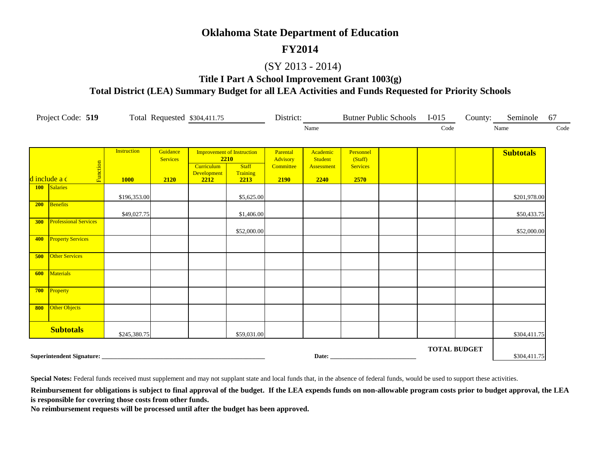#### **FY2014**

#### (SY 2013 - 2014)

**Title I Part A School Improvement Grant 1003(g) Total District (LEA) Summary Budget for all LEA Activities and Funds Requested for Priority Schools**

|     | Project Code: 519            |                    |                 | Total Requested \$304,411.75 |                                   | District:             |                              |                            | Butner Public Schools I-015 |                     | County: Seminole | 67   |
|-----|------------------------------|--------------------|-----------------|------------------------------|-----------------------------------|-----------------------|------------------------------|----------------------------|-----------------------------|---------------------|------------------|------|
|     |                              |                    |                 |                              |                                   |                       | Name                         |                            |                             | Code                | Name             | Code |
|     |                              | <b>Instruction</b> | Guidance        |                              | <b>Improvement of Instruction</b> | Parental              | Academic                     | Personnel                  |                             |                     | <b>Subtotals</b> |      |
|     | Function                     |                    | <b>Services</b> | Curriculum                   | 2210<br><b>Staff</b><br>Training  | Advisory<br>Committee | <b>Student</b><br>Assessment | (Staff)<br><b>Services</b> |                             |                     |                  |      |
|     | d include a c                | <b>1000</b>        | 2120            | Development<br>2212          | 2213                              | 2190                  | 2240                         | 2570                       |                             |                     |                  |      |
|     | 100 Salaries                 | \$196,353.00       |                 |                              | \$5,625.00                        |                       |                              |                            |                             |                     | \$201,978.00     |      |
| 200 | Benefits                     | \$49,027.75        |                 |                              | \$1,406.00                        |                       |                              |                            |                             |                     | \$50,433.75      |      |
| 300 | <b>Professional Services</b> |                    |                 |                              | \$52,000.00                       |                       |                              |                            |                             |                     | \$52,000.00      |      |
| 400 | <b>Property Services</b>     |                    |                 |                              |                                   |                       |                              |                            |                             |                     |                  |      |
| 500 | <b>Other Services</b>        |                    |                 |                              |                                   |                       |                              |                            |                             |                     |                  |      |
| 600 | <b>Materials</b>             |                    |                 |                              |                                   |                       |                              |                            |                             |                     |                  |      |
| 700 | Property                     |                    |                 |                              |                                   |                       |                              |                            |                             |                     |                  |      |
| 800 | Other Objects                |                    |                 |                              |                                   |                       |                              |                            |                             |                     |                  |      |
|     | <b>Subtotals</b>             | \$245,380.75       |                 |                              | \$59,031.00                       |                       |                              |                            |                             |                     | \$304,411.75     |      |
|     |                              |                    |                 |                              |                                   |                       |                              | Date: <u>Date:</u>         |                             | <b>TOTAL BUDGET</b> | \$304,411.75     |      |

**Special Notes:** Federal funds received must supplement and may not supplant state and local funds that, in the absence of federal funds, would be used to support these activities.

Reimbursement for obligations is subject to final approval of the budget. If the LEA expends funds on non-allowable program costs prior to budget approval, the LEA **is responsible for covering those costs from other funds.**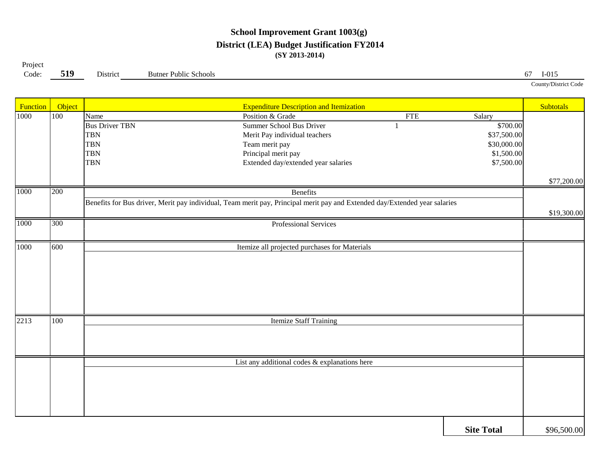#### **School Improvement Grant 1003(g) District (LEA) Budget Justification FY2014 (SY 2013-2014)**

Project

**519**

Code: **519** District Butner Public Schools 67 I-015

County/District Code

| Function | Object |                       | <b>Expenditure Description and Itemization</b>                                                                             |                   | <b>Subtotals</b> |
|----------|--------|-----------------------|----------------------------------------------------------------------------------------------------------------------------|-------------------|------------------|
| 1000     | 100    | Name                  | Position & Grade<br><b>FTE</b>                                                                                             | Salary            |                  |
|          |        | <b>Bus Driver TBN</b> | <b>Summer School Bus Driver</b>                                                                                            | \$700.00          |                  |
|          |        | <b>TBN</b>            | Merit Pay individual teachers                                                                                              | \$37,500.00       |                  |
|          |        | <b>TBN</b>            | Team merit pay                                                                                                             | \$30,000.00       |                  |
|          |        | <b>TBN</b>            | Principal merit pay                                                                                                        | \$1,500.00        |                  |
|          |        | <b>TBN</b>            | Extended day/extended year salaries                                                                                        | \$7,500.00        |                  |
|          |        |                       |                                                                                                                            |                   | \$77,200.00      |
| 1000     | 200    |                       | <b>Benefits</b>                                                                                                            |                   |                  |
|          |        |                       | Benefits for Bus driver, Merit pay individual, Team merit pay, Principal merit pay and Extended day/Extended year salaries |                   |                  |
|          |        |                       |                                                                                                                            |                   | \$19,300.00      |
| 1000     | 300    |                       | Professional Services                                                                                                      |                   |                  |
|          |        |                       |                                                                                                                            |                   |                  |
| 1000     | 600    |                       | Itemize all projected purchases for Materials                                                                              |                   |                  |
|          |        |                       |                                                                                                                            |                   |                  |
|          |        |                       |                                                                                                                            |                   |                  |
|          |        |                       |                                                                                                                            |                   |                  |
|          |        |                       |                                                                                                                            |                   |                  |
|          |        |                       |                                                                                                                            |                   |                  |
|          |        |                       |                                                                                                                            |                   |                  |
| 2213     | 100    |                       | <b>Itemize Staff Training</b>                                                                                              |                   |                  |
|          |        |                       |                                                                                                                            |                   |                  |
|          |        |                       |                                                                                                                            |                   |                  |
|          |        |                       |                                                                                                                            |                   |                  |
|          |        |                       | List any additional codes & explanations here                                                                              |                   |                  |
|          |        |                       |                                                                                                                            |                   |                  |
|          |        |                       |                                                                                                                            |                   |                  |
|          |        |                       |                                                                                                                            |                   |                  |
|          |        |                       |                                                                                                                            |                   |                  |
|          |        |                       |                                                                                                                            |                   |                  |
|          |        |                       |                                                                                                                            | <b>Site Total</b> | \$96,500.00      |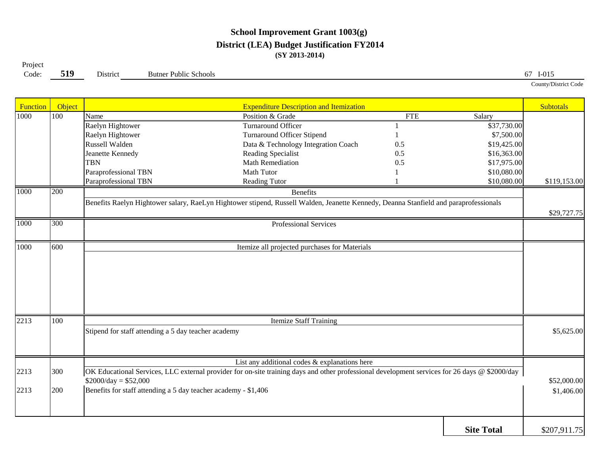#### **School Improvement Grant 1003(g) District (LEA) Budget Justification FY2014 (SY 2013-2014)**

**519**Project

Code: **519** District Butner Public Schools 67 I-015

County/District Code

| Function | Object |                                                                                                                                      | <b>Expenditure Description and Itemization</b>                                                                                                |            |                   | <b>Subtotals</b> |  |  |  |  |
|----------|--------|--------------------------------------------------------------------------------------------------------------------------------------|-----------------------------------------------------------------------------------------------------------------------------------------------|------------|-------------------|------------------|--|--|--|--|
| 1000     | 100    | Name                                                                                                                                 | Position & Grade                                                                                                                              | <b>FTE</b> | Salary            |                  |  |  |  |  |
|          |        | Raelyn Hightower                                                                                                                     | <b>Turnaround Officer</b>                                                                                                                     |            | \$37,730.00       |                  |  |  |  |  |
|          |        | Raelyn Hightower                                                                                                                     | <b>Turnaround Officer Stipend</b>                                                                                                             |            | \$7,500.00        |                  |  |  |  |  |
|          |        | Russell Walden                                                                                                                       | Data & Technology Integration Coach                                                                                                           | 0.5        | \$19,425.00       |                  |  |  |  |  |
|          |        | Jeanette Kennedy                                                                                                                     | Reading Specialist                                                                                                                            | 0.5        | \$16,363.00       |                  |  |  |  |  |
|          |        | <b>TBN</b>                                                                                                                           | <b>Math Remediation</b>                                                                                                                       | 0.5        | \$17,975.00       |                  |  |  |  |  |
|          |        | Paraprofessional TBN                                                                                                                 | <b>Math Tutor</b>                                                                                                                             |            | \$10,080.00       |                  |  |  |  |  |
|          |        | Paraprofessional TBN                                                                                                                 | <b>Reading Tutor</b>                                                                                                                          |            | \$10,080.00       | \$119,153.00     |  |  |  |  |
| 1000     | 200    |                                                                                                                                      | <b>Benefits</b>                                                                                                                               |            |                   |                  |  |  |  |  |
|          |        | Benefits Raelyn Hightower salary, RaeLyn Hightower stipend, Russell Walden, Jeanette Kennedy, Deanna Stanfield and paraprofessionals |                                                                                                                                               |            |                   |                  |  |  |  |  |
|          |        |                                                                                                                                      |                                                                                                                                               |            |                   | \$29,727.75      |  |  |  |  |
| 1000     | 300    |                                                                                                                                      | Professional Services                                                                                                                         |            |                   |                  |  |  |  |  |
|          |        |                                                                                                                                      |                                                                                                                                               |            |                   |                  |  |  |  |  |
| 1000     | 600    |                                                                                                                                      | Itemize all projected purchases for Materials                                                                                                 |            |                   |                  |  |  |  |  |
|          |        |                                                                                                                                      |                                                                                                                                               |            |                   |                  |  |  |  |  |
|          |        |                                                                                                                                      |                                                                                                                                               |            |                   |                  |  |  |  |  |
|          |        |                                                                                                                                      |                                                                                                                                               |            |                   |                  |  |  |  |  |
|          |        |                                                                                                                                      |                                                                                                                                               |            |                   |                  |  |  |  |  |
|          |        |                                                                                                                                      |                                                                                                                                               |            |                   |                  |  |  |  |  |
|          |        |                                                                                                                                      |                                                                                                                                               |            |                   |                  |  |  |  |  |
| 2213     | 100    |                                                                                                                                      | <b>Itemize Staff Training</b>                                                                                                                 |            |                   |                  |  |  |  |  |
|          |        | Stipend for staff attending a 5 day teacher academy                                                                                  |                                                                                                                                               |            |                   | \$5,625.00       |  |  |  |  |
|          |        |                                                                                                                                      |                                                                                                                                               |            |                   |                  |  |  |  |  |
|          |        |                                                                                                                                      |                                                                                                                                               |            |                   |                  |  |  |  |  |
|          |        |                                                                                                                                      | List any additional codes & explanations here                                                                                                 |            |                   |                  |  |  |  |  |
| 2213     | 300    |                                                                                                                                      | OK Educational Services, LLC external provider for on-site training days and other professional development services for 26 days @ \$2000/day |            |                   |                  |  |  |  |  |
|          |        | $$2000/day = $52,000$                                                                                                                |                                                                                                                                               |            |                   | \$52,000.00      |  |  |  |  |
| 2213     | 200    | Benefits for staff attending a 5 day teacher academy - \$1,406                                                                       |                                                                                                                                               |            |                   | \$1,406.00       |  |  |  |  |
|          |        |                                                                                                                                      |                                                                                                                                               |            |                   |                  |  |  |  |  |
|          |        |                                                                                                                                      |                                                                                                                                               |            |                   |                  |  |  |  |  |
|          |        |                                                                                                                                      |                                                                                                                                               |            |                   |                  |  |  |  |  |
|          |        |                                                                                                                                      |                                                                                                                                               |            | <b>Site Total</b> | \$207,911.75     |  |  |  |  |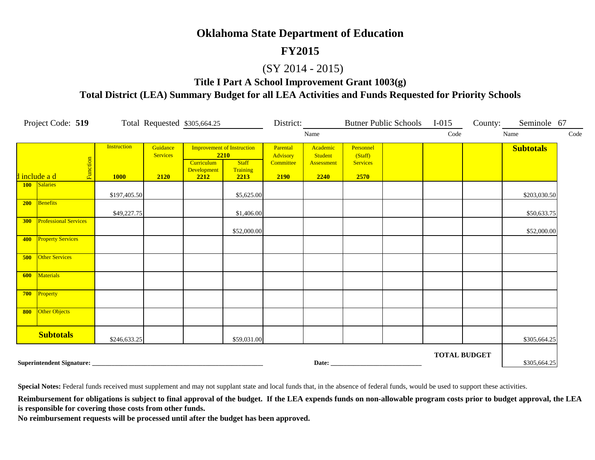#### **FY2015**

#### (SY 2014 - 2015)

**Title I Part A School Improvement Grant 1003(g)**

**Total District (LEA) Summary Budget for all LEA Activities and Funds Requested for Priority Schools**

|     | Project Code: 519            |                                   |                                     | Total Requested \$305,664.25             |                                                                               | District:                                 |                                           |                                                 | Butner Public Schools I-015 |                     | County: | Seminole 67      |      |
|-----|------------------------------|-----------------------------------|-------------------------------------|------------------------------------------|-------------------------------------------------------------------------------|-------------------------------------------|-------------------------------------------|-------------------------------------------------|-----------------------------|---------------------|---------|------------------|------|
|     |                              |                                   |                                     |                                          |                                                                               |                                           | Name                                      |                                                 |                             | Code                |         | Name             | Code |
|     | Function<br>d include a d    | <b>Instruction</b><br><b>1000</b> | Guidance<br><b>Services</b><br>2120 | <b>Curriculum</b><br>Development<br>2212 | <b>Improvement of Instruction</b><br>2210<br><b>Staff</b><br>Training<br>2213 | Parental<br>Advisory<br>Committee<br>2190 | Academic<br>Student<br>Assessment<br>2240 | Personnel<br>(Staff)<br><b>Services</b><br>2570 |                             |                     |         | <b>Subtotals</b> |      |
|     | 100 Salaries                 | \$197,405.50                      |                                     |                                          | \$5,625.00                                                                    |                                           |                                           |                                                 |                             |                     |         | \$203,030.50     |      |
| 200 | Benefits                     | \$49,227.75                       |                                     |                                          | \$1,406.00                                                                    |                                           |                                           |                                                 |                             |                     |         | \$50,633.75      |      |
| 300 | <b>Professional Services</b> |                                   |                                     |                                          | \$52,000.00                                                                   |                                           |                                           |                                                 |                             |                     |         | \$52,000.00      |      |
| 400 | <b>Property Services</b>     |                                   |                                     |                                          |                                                                               |                                           |                                           |                                                 |                             |                     |         |                  |      |
| 500 | <b>Other Services</b>        |                                   |                                     |                                          |                                                                               |                                           |                                           |                                                 |                             |                     |         |                  |      |
| 600 | Materials                    |                                   |                                     |                                          |                                                                               |                                           |                                           |                                                 |                             |                     |         |                  |      |
| 700 | Property                     |                                   |                                     |                                          |                                                                               |                                           |                                           |                                                 |                             |                     |         |                  |      |
| 800 | Other Objects                |                                   |                                     |                                          |                                                                               |                                           |                                           |                                                 |                             |                     |         |                  |      |
|     | <b>Subtotals</b>             | \$246,633.25                      |                                     |                                          | \$59,031.00                                                                   |                                           |                                           |                                                 |                             |                     |         | \$305,664.25     |      |
|     |                              |                                   |                                     |                                          |                                                                               |                                           |                                           | Date:                                           |                             | <b>TOTAL BUDGET</b> |         | \$305,664.25     |      |

**Special Notes:** Federal funds received must supplement and may not supplant state and local funds that, in the absence of federal funds, would be used to support these activities.

Reimbursement for obligations is subject to final approval of the budget. If the LEA expends funds on non-allowable program costs prior to budget approval, the LEA **is responsible for covering those costs from other funds.**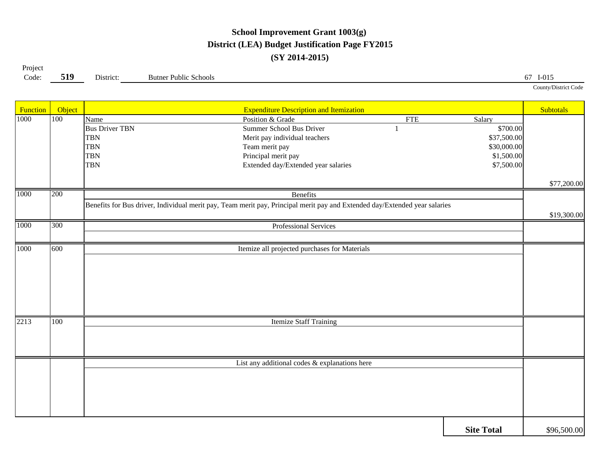## **School Improvement Grant 1003(g) District (LEA) Budget Justification Page FY2015 (SY 2014-2015)**

| Project |           |           |                              |                           |
|---------|-----------|-----------|------------------------------|---------------------------|
| Code:   | 510<br>ັ້ | District: | <b>Butner Public Schools</b> | $I-015$<br>$\sigma/$      |
|         |           |           |                              | County/District C<br>code |

| Function | Object |                       | <b>Expenditure Description and Itemization</b>                                                                             |            |                   | Subtotals   |
|----------|--------|-----------------------|----------------------------------------------------------------------------------------------------------------------------|------------|-------------------|-------------|
| 1000     | 100    | Name                  | Position & Grade                                                                                                           | <b>FTE</b> | Salary            |             |
|          |        | <b>Bus Driver TBN</b> | <b>Summer School Bus Driver</b>                                                                                            |            | \$700.00          |             |
|          |        | <b>TBN</b>            | Merit pay individual teachers                                                                                              |            | \$37,500.00       |             |
|          |        | <b>TBN</b>            | Team merit pay                                                                                                             |            | \$30,000.00       |             |
|          |        | <b>TBN</b>            | Principal merit pay                                                                                                        |            | \$1,500.00        |             |
|          |        | <b>TBN</b>            | Extended day/Extended year salaries                                                                                        |            | \$7,500.00        |             |
|          |        |                       |                                                                                                                            |            |                   |             |
|          |        |                       |                                                                                                                            |            |                   | \$77,200.00 |
| 1000     | 200    |                       | <b>Benefits</b>                                                                                                            |            |                   |             |
|          |        |                       | Benefits for Bus driver, Individual merit pay, Team merit pay, Principal merit pay and Extended day/Extended year salaries |            |                   |             |
|          |        |                       |                                                                                                                            |            |                   | \$19,300.00 |
| 1000     | 300    |                       | Professional Services                                                                                                      |            |                   |             |
|          |        |                       |                                                                                                                            |            |                   |             |
| 1000     | 600    |                       | Itemize all projected purchases for Materials                                                                              |            |                   |             |
|          |        |                       |                                                                                                                            |            |                   |             |
|          |        |                       |                                                                                                                            |            |                   |             |
|          |        |                       |                                                                                                                            |            |                   |             |
|          |        |                       |                                                                                                                            |            |                   |             |
|          |        |                       |                                                                                                                            |            |                   |             |
|          |        |                       |                                                                                                                            |            |                   |             |
| 2213     | 100    |                       | <b>Itemize Staff Training</b>                                                                                              |            |                   |             |
|          |        |                       |                                                                                                                            |            |                   |             |
|          |        |                       |                                                                                                                            |            |                   |             |
|          |        |                       |                                                                                                                            |            |                   |             |
|          |        |                       | List any additional codes & explanations here                                                                              |            |                   |             |
|          |        |                       |                                                                                                                            |            |                   |             |
|          |        |                       |                                                                                                                            |            |                   |             |
|          |        |                       |                                                                                                                            |            |                   |             |
|          |        |                       |                                                                                                                            |            |                   |             |
|          |        |                       |                                                                                                                            |            |                   |             |
|          |        |                       |                                                                                                                            |            |                   |             |
|          |        |                       |                                                                                                                            |            | <b>Site Total</b> | \$96,500.00 |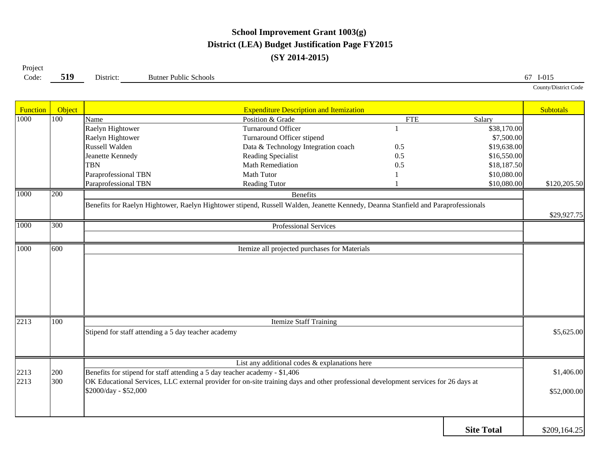## **School Improvement Grant 1003(g) District (LEA) Budget Justification Page FY2015 (SY 2014-2015)**

**519**Code: **519** District: Butner Public Schools 67 I-015 Project County/District Code

| Function | Object |                                                                            | <b>Expenditure Description and Itemization</b>                                                                                      |            |                   | <b>Subtotals</b> |
|----------|--------|----------------------------------------------------------------------------|-------------------------------------------------------------------------------------------------------------------------------------|------------|-------------------|------------------|
| 1000     | 100    | Name                                                                       | Position & Grade                                                                                                                    | <b>FTE</b> | Salary            |                  |
|          |        | Raelyn Hightower                                                           | Turnaround Officer                                                                                                                  |            | \$38,170.00       |                  |
|          |        | Raelyn Hightower                                                           | Turnaround Officer stipend                                                                                                          |            | \$7,500.00        |                  |
|          |        | Russell Walden                                                             | Data & Technology Integration coach                                                                                                 | 0.5        | \$19,638.00       |                  |
|          |        | Jeanette Kennedy                                                           | Reading Specialist                                                                                                                  | 0.5        | \$16,550.00       |                  |
|          |        | <b>TBN</b>                                                                 | Math Remediation                                                                                                                    | 0.5        | \$18,187.50       |                  |
|          |        | Paraprofessional TBN                                                       | <b>Math Tutor</b>                                                                                                                   |            | \$10,080.00       |                  |
|          |        | Paraprofessional TBN                                                       | Reading Tutor                                                                                                                       |            | \$10,080.00       | \$120,205.50     |
| 1000     | 200    |                                                                            | <b>Benefits</b>                                                                                                                     |            |                   |                  |
|          |        |                                                                            | Benefits for Raelyn Hightower, Raelyn Hightower stipend, Russell Walden, Jeanette Kennedy, Deanna Stanfield and Paraprofessionals   |            |                   |                  |
|          |        |                                                                            |                                                                                                                                     |            |                   | \$29,927.75      |
| 1000     | 300    |                                                                            | Professional Services                                                                                                               |            |                   |                  |
|          |        |                                                                            |                                                                                                                                     |            |                   |                  |
| 1000     | 600    |                                                                            | Itemize all projected purchases for Materials                                                                                       |            |                   |                  |
|          |        |                                                                            |                                                                                                                                     |            |                   |                  |
|          |        |                                                                            |                                                                                                                                     |            |                   |                  |
|          |        |                                                                            |                                                                                                                                     |            |                   |                  |
|          |        |                                                                            |                                                                                                                                     |            |                   |                  |
|          |        |                                                                            |                                                                                                                                     |            |                   |                  |
|          |        |                                                                            |                                                                                                                                     |            |                   |                  |
| 2213     | 100    |                                                                            | <b>Itemize Staff Training</b>                                                                                                       |            |                   |                  |
|          |        | Stipend for staff attending a 5 day teacher academy                        |                                                                                                                                     |            |                   | \$5,625.00       |
|          |        |                                                                            |                                                                                                                                     |            |                   |                  |
|          |        |                                                                            |                                                                                                                                     |            |                   |                  |
|          |        |                                                                            | List any additional codes & explanations here                                                                                       |            |                   |                  |
| 2213     | 200    | Benefits for stipend for staff attending a 5 day teacher academy - \$1,406 |                                                                                                                                     |            |                   | \$1,406.00       |
| 2213     | 300    |                                                                            | OK Educational Services, LLC external provider for on-site training days and other professional development services for 26 days at |            |                   |                  |
|          |        | \$2000/day - \$52,000                                                      |                                                                                                                                     |            |                   | \$52,000.00      |
|          |        |                                                                            |                                                                                                                                     |            |                   |                  |
|          |        |                                                                            |                                                                                                                                     |            |                   |                  |
|          |        |                                                                            |                                                                                                                                     |            |                   |                  |
|          |        |                                                                            |                                                                                                                                     |            | <b>Site Total</b> | \$209,164.25     |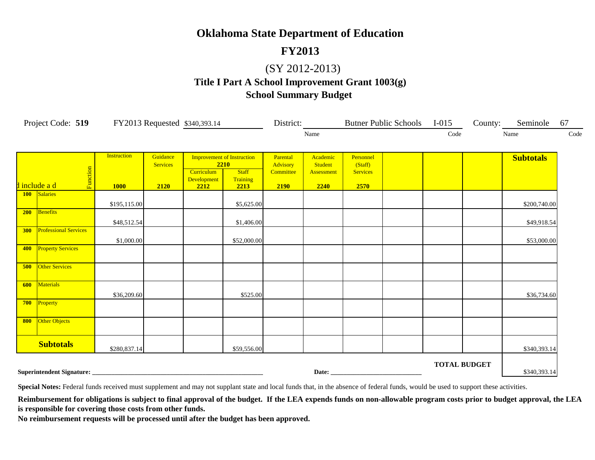## **FY2013**

#### (SY 2012-2013)

## **Title I Part A School Improvement Grant 1003(g) School Summary Budget**

|     | Project Code: 519 FY2013 Requested \$340,393.14 |                                   |                                     |                                          |                                                                               |                                           | District:                                        |                                                 | Butner Public Schools I-015 |                     | County: Seminole | 67   |
|-----|-------------------------------------------------|-----------------------------------|-------------------------------------|------------------------------------------|-------------------------------------------------------------------------------|-------------------------------------------|--------------------------------------------------|-------------------------------------------------|-----------------------------|---------------------|------------------|------|
|     |                                                 |                                   |                                     |                                          |                                                                               |                                           | Name                                             |                                                 |                             | Code                | Name             | Code |
|     | Function<br>d include a d                       | <b>Instruction</b><br><b>1000</b> | Guidance<br><b>Services</b><br>2120 | <b>Curriculum</b><br>Development<br>2212 | <b>Improvement of Instruction</b><br>2210<br><b>Staff</b><br>Training<br>2213 | Parental<br>Advisory<br>Committee<br>2190 | Academic<br><b>Student</b><br>Assessment<br>2240 | Personnel<br>(Staff)<br><b>Services</b><br>2570 |                             |                     | <b>Subtotals</b> |      |
|     | 100 Salaries                                    | \$195,115.00                      |                                     |                                          | \$5,625.00                                                                    |                                           |                                                  |                                                 |                             |                     | \$200,740.00     |      |
| 200 | Benefits                                        | \$48,512.54                       |                                     |                                          | \$1,406.00                                                                    |                                           |                                                  |                                                 |                             |                     | \$49,918.54      |      |
| 300 | <b>Professional Services</b>                    | \$1,000.00                        |                                     |                                          | \$52,000.00                                                                   |                                           |                                                  |                                                 |                             |                     | \$53,000.00      |      |
| 400 | <b>Property Services</b>                        |                                   |                                     |                                          |                                                                               |                                           |                                                  |                                                 |                             |                     |                  |      |
| 500 | <b>Other Services</b>                           |                                   |                                     |                                          |                                                                               |                                           |                                                  |                                                 |                             |                     |                  |      |
| 600 | Materials                                       | \$36,209.60                       |                                     |                                          | \$525.00                                                                      |                                           |                                                  |                                                 |                             |                     | \$36,734.60      |      |
| 700 | Property                                        |                                   |                                     |                                          |                                                                               |                                           |                                                  |                                                 |                             |                     |                  |      |
| 800 | Other Objects                                   |                                   |                                     |                                          |                                                                               |                                           |                                                  |                                                 |                             |                     |                  |      |
|     | <b>Subtotals</b>                                | \$280,837.14                      |                                     |                                          | \$59,556.00                                                                   |                                           |                                                  |                                                 |                             |                     | \$340,393.14     |      |
|     | Superintendent Signature:                       |                                   |                                     |                                          |                                                                               |                                           |                                                  |                                                 |                             | <b>TOTAL BUDGET</b> | \$340,393.14     |      |

**Special Notes:** Federal funds received must supplement and may not supplant state and local funds that, in the absence of federal funds, would be used to support these activities.

Reimbursement for obligations is subject to final approval of the budget. If the LEA expends funds on non-allowable program costs prior to budget approval, the LEA **is responsible for covering those costs from other funds.**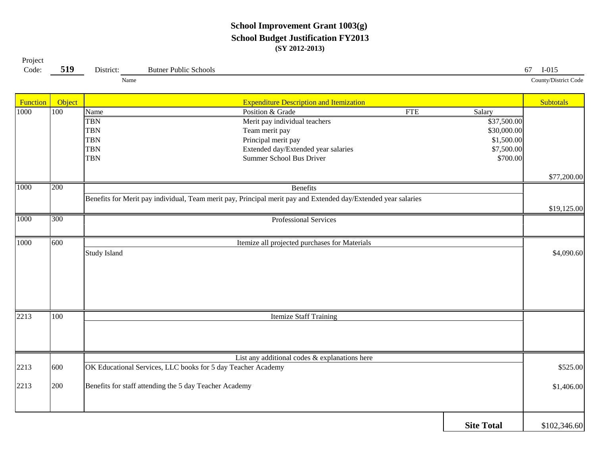#### **School Improvement Grant 1003(g) School Budget Justification FY2013 (SY 2012-2013)**

| Project<br>Code: | 519              | District:           | <b>Butner Public Schools</b>                                                                                   |                   | $I-015$<br>67        |
|------------------|------------------|---------------------|----------------------------------------------------------------------------------------------------------------|-------------------|----------------------|
|                  |                  | Name                |                                                                                                                |                   | County/District Code |
| Function         | Object           |                     | <b>Expenditure Description and Itemization</b>                                                                 |                   | <b>Subtotals</b>     |
| 1000             | $\overline{100}$ | Name                | Position & Grade<br><b>FTE</b>                                                                                 | Salary            |                      |
|                  |                  | <b>TBN</b>          | Merit pay individual teachers                                                                                  | \$37,500.00       |                      |
|                  |                  | <b>TBN</b>          | Team merit pay                                                                                                 | \$30,000.00       |                      |
|                  |                  | <b>TBN</b>          | Principal merit pay                                                                                            | \$1,500.00        |                      |
|                  |                  | <b>TBN</b>          | Extended day/Extended year salaries                                                                            | \$7,500.00        |                      |
|                  |                  | <b>TBN</b>          | Summer School Bus Driver                                                                                       | \$700.00          |                      |
|                  |                  |                     |                                                                                                                |                   | \$77,200.00          |
| 1000             | 200              |                     | <b>Benefits</b>                                                                                                |                   |                      |
|                  |                  |                     | Benefits for Merit pay individual, Team merit pay, Principal merit pay and Extended day/Extended year salaries |                   |                      |
|                  |                  |                     |                                                                                                                |                   | \$19,125.00          |
| 1000             | 300              |                     | <b>Professional Services</b>                                                                                   |                   |                      |
|                  |                  |                     |                                                                                                                |                   |                      |
| 1000             | 600              |                     | Itemize all projected purchases for Materials                                                                  |                   |                      |
|                  |                  | <b>Study Island</b> |                                                                                                                |                   | \$4,090.60           |
|                  |                  |                     |                                                                                                                |                   |                      |
|                  |                  |                     |                                                                                                                |                   |                      |
|                  |                  |                     |                                                                                                                |                   |                      |
|                  |                  |                     |                                                                                                                |                   |                      |
|                  |                  |                     |                                                                                                                |                   |                      |
| 2213             | 100              |                     | <b>Itemize Staff Training</b>                                                                                  |                   |                      |
|                  |                  |                     |                                                                                                                |                   |                      |
|                  |                  |                     |                                                                                                                |                   |                      |
|                  |                  |                     | List any additional codes & explanations here                                                                  |                   |                      |
| 2213             | 600              |                     | OK Educational Services, LLC books for 5 day Teacher Academy                                                   |                   | \$525.00             |
|                  |                  |                     |                                                                                                                |                   |                      |
| 2213             | 200              |                     | Benefits for staff attending the 5 day Teacher Academy                                                         |                   | \$1,406.00           |
|                  |                  |                     |                                                                                                                |                   |                      |
|                  |                  |                     |                                                                                                                |                   |                      |
|                  |                  |                     |                                                                                                                | <b>Site Total</b> | \$102,346.60         |
|                  |                  |                     |                                                                                                                |                   |                      |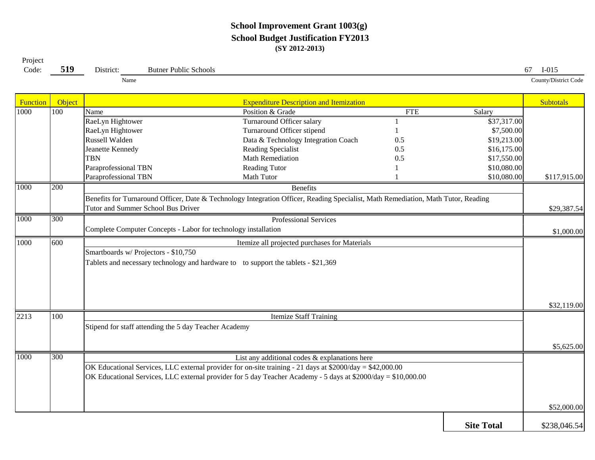#### **School Improvement Grant 1003(g) School Budget Justification FY2013 (SY 2012-2013)**

Project Code:

**519**

**9** District: Butner Public Schools 67 I-015

Name

County/District Code

| Function | Object |                                                       | <b>Expenditure Description and Itemization</b>                                                                                    |            |                   | <b>Subtotals</b> |  |  |  |  |
|----------|--------|-------------------------------------------------------|-----------------------------------------------------------------------------------------------------------------------------------|------------|-------------------|------------------|--|--|--|--|
| 1000     | 100    | Name                                                  | Position & Grade                                                                                                                  | <b>FTE</b> | Salary            |                  |  |  |  |  |
|          |        | RaeLyn Hightower                                      | Turnaround Officer salary                                                                                                         |            | \$37,317.00       |                  |  |  |  |  |
|          |        | RaeLyn Hightower                                      | Turnaround Officer stipend                                                                                                        |            | \$7,500.00        |                  |  |  |  |  |
|          |        | Russell Walden                                        | Data & Technology Integration Coach                                                                                               | 0.5        | \$19,213.00       |                  |  |  |  |  |
|          |        | Jeanette Kennedy                                      | Reading Specialist                                                                                                                | 0.5        | \$16,175.00       |                  |  |  |  |  |
|          |        | <b>TBN</b>                                            | Math Remediation                                                                                                                  | 0.5        | \$17,550.00       |                  |  |  |  |  |
|          |        | Paraprofessional TBN                                  | <b>Reading Tutor</b>                                                                                                              |            | \$10,080.00       |                  |  |  |  |  |
|          |        | Paraprofessional TBN                                  | Math Tutor                                                                                                                        |            | \$10,080.00       | \$117,915.00     |  |  |  |  |
| 1000     | 200    |                                                       | <b>Benefits</b>                                                                                                                   |            |                   |                  |  |  |  |  |
|          |        |                                                       | Benefits for Turnaround Officer, Date & Technology Integration Officer, Reading Specialist, Math Remediation, Math Tutor, Reading |            |                   |                  |  |  |  |  |
|          |        | Tutor and Summer School Bus Driver                    |                                                                                                                                   |            |                   | \$29,387.54      |  |  |  |  |
| 1000     | 300    |                                                       | <b>Professional Services</b>                                                                                                      |            |                   |                  |  |  |  |  |
|          |        |                                                       | Complete Computer Concepts - Labor for technology installation                                                                    |            |                   |                  |  |  |  |  |
| 1000     | 600    |                                                       | Itemize all projected purchases for Materials                                                                                     |            |                   |                  |  |  |  |  |
|          |        | Smartboards w/ Projectors - \$10,750                  |                                                                                                                                   |            |                   |                  |  |  |  |  |
|          |        |                                                       | Tablets and necessary technology and hardware to to support the tablets - \$21,369                                                |            |                   |                  |  |  |  |  |
|          |        |                                                       |                                                                                                                                   |            |                   |                  |  |  |  |  |
|          |        |                                                       |                                                                                                                                   |            |                   |                  |  |  |  |  |
|          |        |                                                       |                                                                                                                                   |            |                   |                  |  |  |  |  |
|          |        |                                                       |                                                                                                                                   |            |                   | \$32,119.00      |  |  |  |  |
| 2213     | 100    |                                                       | <b>Itemize Staff Training</b>                                                                                                     |            |                   |                  |  |  |  |  |
|          |        | Stipend for staff attending the 5 day Teacher Academy |                                                                                                                                   |            |                   |                  |  |  |  |  |
|          |        |                                                       |                                                                                                                                   |            |                   |                  |  |  |  |  |
|          |        |                                                       |                                                                                                                                   |            |                   | \$5,625.00       |  |  |  |  |
| 1000     | 300    |                                                       | List any additional codes & explanations here                                                                                     |            |                   |                  |  |  |  |  |
|          |        |                                                       | OK Educational Services, LLC external provider for on-site training - 21 days at \$2000/day = \$42,000.00                         |            |                   |                  |  |  |  |  |
|          |        |                                                       | OK Educational Services, LLC external provider for 5 day Teacher Academy - 5 days at \$2000/day = \$10,000.00                     |            |                   |                  |  |  |  |  |
|          |        |                                                       |                                                                                                                                   |            |                   |                  |  |  |  |  |
|          |        |                                                       |                                                                                                                                   |            |                   |                  |  |  |  |  |
|          |        |                                                       |                                                                                                                                   |            |                   | \$52,000.00      |  |  |  |  |
|          |        |                                                       |                                                                                                                                   |            | <b>Site Total</b> | \$238,046.54     |  |  |  |  |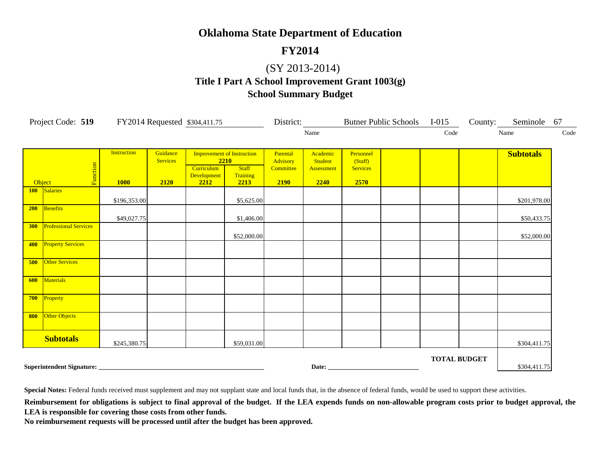## **FY2014**

#### (SY 2013-2014)

# **Title I Part A School Improvement Grant 1003(g)**

#### **School Summary Budget**

|     | Project Code: 519 FY2014 Requested \$304,411.75 |                    |                 |                     |                                   | District: |                   |                 | Butner Public Schools I-015 |                     | County: | Seminole 67      |      |
|-----|-------------------------------------------------|--------------------|-----------------|---------------------|-----------------------------------|-----------|-------------------|-----------------|-----------------------------|---------------------|---------|------------------|------|
|     |                                                 |                    |                 |                     |                                   |           | Name              |                 |                             | Code                |         | Name             | Code |
|     |                                                 | <b>Instruction</b> | Guidance        |                     | <b>Improvement of Instruction</b> | Parental  | Academic          | Personnel       |                             |                     |         | <b>Subtotals</b> |      |
|     |                                                 |                    | <b>Services</b> |                     | 2210                              | Advisory  | Student           | (Staff)         |                             |                     |         |                  |      |
|     |                                                 |                    |                 | Curriculum          | <b>Staff</b>                      | Committee | <b>Assessment</b> | <b>Services</b> |                             |                     |         |                  |      |
|     | Function<br>Object                              | <b>1000</b>        | 2120            | Development<br>2212 | Training<br>2213                  | 2190      | 2240              | 2570            |                             |                     |         |                  |      |
|     | 100 Salaries                                    |                    |                 |                     |                                   |           |                   |                 |                             |                     |         |                  |      |
|     |                                                 | \$196,353.00       |                 |                     | \$5,625.00                        |           |                   |                 |                             |                     |         | \$201,978.00     |      |
| 200 | Benefits                                        | \$49,027.75        |                 |                     | \$1,406.00                        |           |                   |                 |                             |                     |         | \$50,433.75      |      |
| 300 | <b>Professional Services</b>                    |                    |                 |                     | \$52,000.00                       |           |                   |                 |                             |                     |         | \$52,000.00      |      |
| 400 | <b>Property Services</b>                        |                    |                 |                     |                                   |           |                   |                 |                             |                     |         |                  |      |
| 500 | <b>Other Services</b>                           |                    |                 |                     |                                   |           |                   |                 |                             |                     |         |                  |      |
| 600 | <b>Materials</b>                                |                    |                 |                     |                                   |           |                   |                 |                             |                     |         |                  |      |
| 700 | Property                                        |                    |                 |                     |                                   |           |                   |                 |                             |                     |         |                  |      |
| 800 | Other Objects                                   |                    |                 |                     |                                   |           |                   |                 |                             |                     |         |                  |      |
|     | <b>Subtotals</b>                                | \$245,380.75       |                 |                     | \$59,031.00                       |           |                   |                 |                             |                     |         | \$304,411.75     |      |
|     |                                                 |                    |                 |                     |                                   |           |                   |                 |                             | <b>TOTAL BUDGET</b> |         | \$304,411.75     |      |

Special Notes: Federal funds received must supplement and may not supplant state and local funds that, in the absence of federal funds, would be used to support these activities.

Reimbursement for obligations is subject to final approval of the budget. If the LEA expends funds on non-allowable program costs prior to budget approval, the **LEA is responsible for covering those costs from other funds.**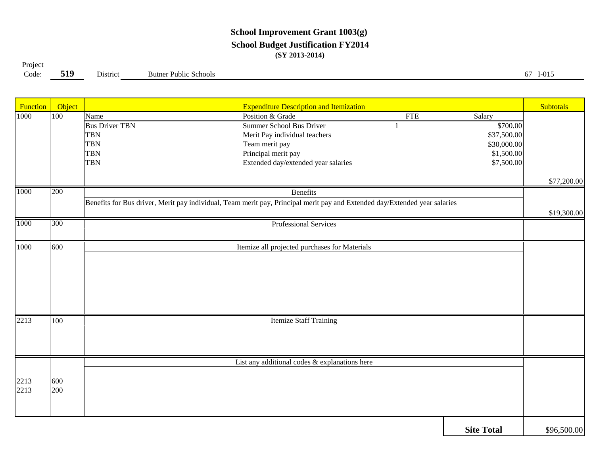#### **School Improvement Grant 1003(g) School Budget Justification FY2014 (SY 2013-2014)**

Project

**519**

Code: **519** District Butner Public Schools 67 I-015

| Function | Object |                       | <b>Expenditure Description and Itemization</b>                                                                             |            |                   | <b>Subtotals</b> |
|----------|--------|-----------------------|----------------------------------------------------------------------------------------------------------------------------|------------|-------------------|------------------|
| 1000     | 100    | Name                  | Position & Grade                                                                                                           | <b>FTE</b> | Salary            |                  |
|          |        | <b>Bus Driver TBN</b> | Summer School Bus Driver                                                                                                   |            | \$700.00          |                  |
|          |        | <b>TBN</b>            | Merit Pay individual teachers                                                                                              |            | \$37,500.00       |                  |
|          |        | <b>TBN</b>            | Team merit pay                                                                                                             |            | \$30,000.00       |                  |
|          |        | <b>TBN</b>            | Principal merit pay                                                                                                        |            | \$1,500.00        |                  |
|          |        | <b>TBN</b>            | Extended day/extended year salaries                                                                                        |            | \$7,500.00        |                  |
|          |        |                       |                                                                                                                            |            |                   | \$77,200.00      |
| 1000     | 200    |                       | <b>Benefits</b>                                                                                                            |            |                   |                  |
|          |        |                       | Benefits for Bus driver, Merit pay individual, Team merit pay, Principal merit pay and Extended day/Extended year salaries |            |                   |                  |
|          |        |                       |                                                                                                                            |            |                   | \$19,300.00      |
| 1000     | 300    |                       | Professional Services                                                                                                      |            |                   |                  |
|          |        |                       |                                                                                                                            |            |                   |                  |
| 1000     | 600    |                       | Itemize all projected purchases for Materials                                                                              |            |                   |                  |
|          |        |                       |                                                                                                                            |            |                   |                  |
|          |        |                       |                                                                                                                            |            |                   |                  |
|          |        |                       |                                                                                                                            |            |                   |                  |
|          |        |                       |                                                                                                                            |            |                   |                  |
|          |        |                       |                                                                                                                            |            |                   |                  |
| 2213     | 100    |                       |                                                                                                                            |            |                   |                  |
|          |        |                       | <b>Itemize Staff Training</b>                                                                                              |            |                   |                  |
|          |        |                       |                                                                                                                            |            |                   |                  |
|          |        |                       |                                                                                                                            |            |                   |                  |
|          |        |                       | List any additional codes & explanations here                                                                              |            |                   |                  |
|          |        |                       |                                                                                                                            |            |                   |                  |
| 2213     | 600    |                       |                                                                                                                            |            |                   |                  |
| 2213     | 200    |                       |                                                                                                                            |            |                   |                  |
|          |        |                       |                                                                                                                            |            |                   |                  |
|          |        |                       |                                                                                                                            |            |                   |                  |
|          |        |                       |                                                                                                                            |            | <b>Site Total</b> | \$96,500.00      |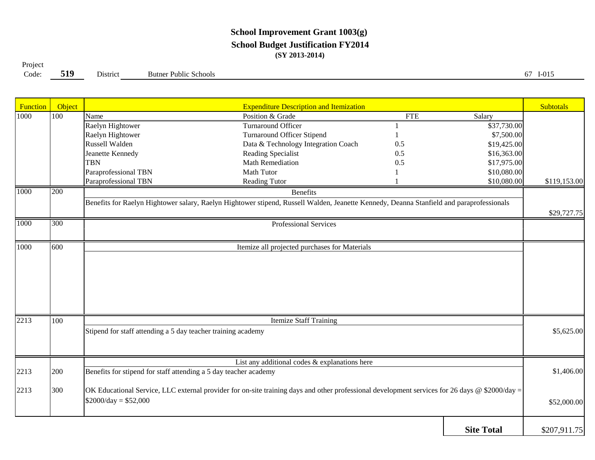#### **School Improvement Grant 1003(g) School Budget Justification FY2014 (SY 2013-2014)**

**519**Project Code:

**9** District Butner Public Schools 67 I-015

| Function | <b>Object</b>    |                                                                                                                                          | <b>Expenditure Description and Itemization</b>                                                                                                 |            |                   | <b>Subtotals</b> |  |  |  |  |
|----------|------------------|------------------------------------------------------------------------------------------------------------------------------------------|------------------------------------------------------------------------------------------------------------------------------------------------|------------|-------------------|------------------|--|--|--|--|
| 1000     | 100              | Name                                                                                                                                     | Position & Grade                                                                                                                               | <b>FTE</b> | Salary            |                  |  |  |  |  |
|          |                  | Raelyn Hightower                                                                                                                         | Turnaround Officer                                                                                                                             |            | \$37,730.00       |                  |  |  |  |  |
|          |                  | Raelyn Hightower                                                                                                                         | <b>Turnaround Officer Stipend</b>                                                                                                              |            | \$7,500.00        |                  |  |  |  |  |
|          |                  | Russell Walden                                                                                                                           | Data & Technology Integration Coach                                                                                                            | 0.5        | \$19,425.00       |                  |  |  |  |  |
|          |                  | Jeanette Kennedy                                                                                                                         | Reading Specialist                                                                                                                             | 0.5        | \$16,363.00       |                  |  |  |  |  |
|          |                  | <b>TBN</b>                                                                                                                               | Math Remediation                                                                                                                               | 0.5        | \$17,975.00       |                  |  |  |  |  |
|          |                  | Paraprofessional TBN                                                                                                                     | <b>Math Tutor</b>                                                                                                                              |            | \$10,080.00       |                  |  |  |  |  |
|          |                  | Paraprofessional TBN                                                                                                                     | Reading Tutor                                                                                                                                  |            | \$10,080.00       | \$119,153.00     |  |  |  |  |
| 1000     | $\overline{200}$ |                                                                                                                                          | <b>Benefits</b>                                                                                                                                |            |                   |                  |  |  |  |  |
|          |                  | Benefits for Raelyn Hightower salary, Raelyn Hightower stipend, Russell Walden, Jeanette Kennedy, Deanna Stanfield and paraprofessionals |                                                                                                                                                |            |                   |                  |  |  |  |  |
|          |                  |                                                                                                                                          |                                                                                                                                                |            |                   | \$29,727.75      |  |  |  |  |
| 1000     | 300              |                                                                                                                                          | Professional Services                                                                                                                          |            |                   |                  |  |  |  |  |
|          |                  |                                                                                                                                          |                                                                                                                                                |            |                   |                  |  |  |  |  |
| 1000     | 600              |                                                                                                                                          | Itemize all projected purchases for Materials                                                                                                  |            |                   |                  |  |  |  |  |
|          |                  |                                                                                                                                          |                                                                                                                                                |            |                   |                  |  |  |  |  |
|          |                  |                                                                                                                                          |                                                                                                                                                |            |                   |                  |  |  |  |  |
|          |                  |                                                                                                                                          |                                                                                                                                                |            |                   |                  |  |  |  |  |
|          |                  |                                                                                                                                          |                                                                                                                                                |            |                   |                  |  |  |  |  |
|          |                  |                                                                                                                                          |                                                                                                                                                |            |                   |                  |  |  |  |  |
|          |                  |                                                                                                                                          |                                                                                                                                                |            |                   |                  |  |  |  |  |
| 2213     | 100              |                                                                                                                                          | <b>Itemize Staff Training</b>                                                                                                                  |            |                   |                  |  |  |  |  |
|          |                  | Stipend for staff attending a 5 day teacher training academy                                                                             |                                                                                                                                                |            |                   | \$5,625.00       |  |  |  |  |
|          |                  |                                                                                                                                          |                                                                                                                                                |            |                   |                  |  |  |  |  |
|          |                  |                                                                                                                                          |                                                                                                                                                |            |                   |                  |  |  |  |  |
|          |                  |                                                                                                                                          | List any additional codes & explanations here                                                                                                  |            |                   |                  |  |  |  |  |
| 2213     | 200              | Benefits for stipend for staff attending a 5 day teacher academy                                                                         |                                                                                                                                                |            |                   |                  |  |  |  |  |
|          |                  |                                                                                                                                          |                                                                                                                                                |            |                   |                  |  |  |  |  |
| 2213     | 300              |                                                                                                                                          | OK Educational Service, LLC external provider for on-site training days and other professional development services for 26 days @ \$2000/day = |            |                   |                  |  |  |  |  |
|          |                  | $$2000/day = $52,000$                                                                                                                    |                                                                                                                                                |            |                   | \$52,000.00      |  |  |  |  |
|          |                  |                                                                                                                                          |                                                                                                                                                |            |                   |                  |  |  |  |  |
|          |                  |                                                                                                                                          |                                                                                                                                                |            |                   |                  |  |  |  |  |
|          |                  |                                                                                                                                          |                                                                                                                                                |            | <b>Site Total</b> | \$207,911.75     |  |  |  |  |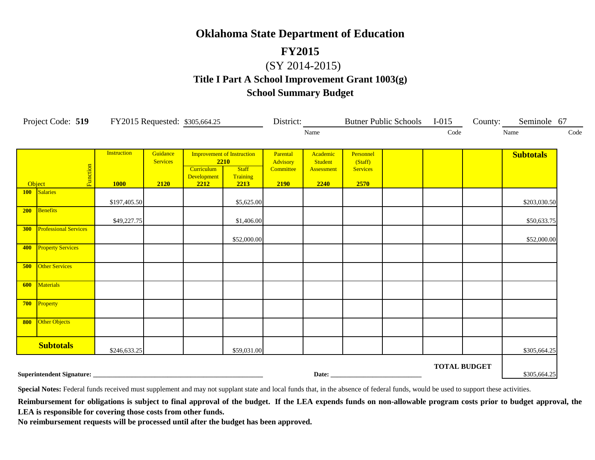#### **FY2015**

## (SY 2014-2015)

## **Title I Part A School Improvement Grant 1003(g) School Summary Budget**

|            | Project Code: 519 FY2015 Requested: \$305,664.25 |                                   |                                     |                                           |                                                                       | District:                                 |                                           |                                                 | Butner Public Schools I-015 |                     | County: Seminole 67 |            |
|------------|--------------------------------------------------|-----------------------------------|-------------------------------------|-------------------------------------------|-----------------------------------------------------------------------|-------------------------------------------|-------------------------------------------|-------------------------------------------------|-----------------------------|---------------------|---------------------|------------|
|            |                                                  |                                   |                                     |                                           |                                                                       |                                           | Name                                      |                                                 |                             | Code                | Name                | $\rm Code$ |
| Object     | Function                                         | <b>Instruction</b><br><b>1000</b> | Guidance<br><b>Services</b><br>2120 | 2210<br>Curriculum<br>Development<br>2212 | <b>Improvement of Instruction</b><br><b>Staff</b><br>Training<br>2213 | Parental<br>Advisory<br>Committee<br>2190 | Academic<br>Student<br>Assessment<br>2240 | Personnel<br>(Staff)<br><b>Services</b><br>2570 |                             |                     | <b>Subtotals</b>    |            |
|            | 100 Salaries                                     | \$197,405.50                      |                                     |                                           | \$5,625.00                                                            |                                           |                                           |                                                 |                             |                     | \$203,030.50        |            |
| 200        | Benefits                                         | \$49,227.75                       |                                     |                                           | \$1,406.00                                                            |                                           |                                           |                                                 |                             |                     | \$50,633.75         |            |
| <b>300</b> | <b>Professional Services</b>                     |                                   |                                     |                                           | \$52,000.00                                                           |                                           |                                           |                                                 |                             |                     | \$52,000.00         |            |
| 400        | <b>Property Services</b>                         |                                   |                                     |                                           |                                                                       |                                           |                                           |                                                 |                             |                     |                     |            |
| 500        | Other Services                                   |                                   |                                     |                                           |                                                                       |                                           |                                           |                                                 |                             |                     |                     |            |
| 600        | Materials                                        |                                   |                                     |                                           |                                                                       |                                           |                                           |                                                 |                             |                     |                     |            |
| 700        | Property                                         |                                   |                                     |                                           |                                                                       |                                           |                                           |                                                 |                             |                     |                     |            |
| 800        | Other Objects                                    |                                   |                                     |                                           |                                                                       |                                           |                                           |                                                 |                             |                     |                     |            |
|            | <b>Subtotals</b>                                 | \$246,633.25                      |                                     |                                           | \$59,031.00                                                           |                                           |                                           |                                                 |                             |                     | \$305,664.25        |            |
|            |                                                  |                                   |                                     |                                           |                                                                       |                                           |                                           |                                                 |                             | <b>TOTAL BUDGET</b> | \$305,664.25        |            |

Special Notes: Federal funds received must supplement and may not supplant state and local funds that, in the absence of federal funds, would be used to support these activities.

Reimbursement for obligations is subject to final approval of the budget. If the LEA expends funds on non-allowable program costs prior to budget approval, the **LEA is responsible for covering those costs from other funds.**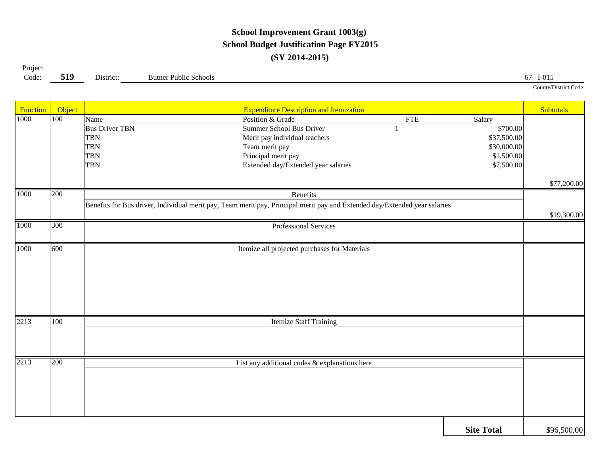### **School Improvement Grant 1003(g) School Budget Justification Page FY2015 (SY 2014-2015)**

| Project |     |           |                              |                      |
|---------|-----|-----------|------------------------------|----------------------|
| Code:   | 519 | District: | <b>Butner Public Schools</b> | $I-015$<br>6/        |
|         |     |           |                              | County/District Code |

| Function | Object |                       | <b>Expenditure Description and Itemization</b>                                                                             |            |                   | Subtotals   |
|----------|--------|-----------------------|----------------------------------------------------------------------------------------------------------------------------|------------|-------------------|-------------|
| 1000     | 100    | Name                  | Position & Grade                                                                                                           | <b>FTE</b> | Salary            |             |
|          |        | <b>Bus Driver TBN</b> | <b>Summer School Bus Driver</b>                                                                                            |            | \$700.00          |             |
|          |        | <b>TBN</b>            | Merit pay individual teachers                                                                                              |            | \$37,500.00       |             |
|          |        | <b>TBN</b>            | Team merit pay                                                                                                             |            | \$30,000.00       |             |
|          |        | <b>TBN</b>            | Principal merit pay                                                                                                        |            | \$1,500.00        |             |
|          |        | <b>TBN</b>            | Extended day/Extended year salaries                                                                                        |            | \$7,500.00        |             |
|          |        |                       |                                                                                                                            |            |                   |             |
|          |        |                       |                                                                                                                            |            |                   | \$77,200.00 |
| 1000     | 200    |                       | Benefits                                                                                                                   |            |                   |             |
|          |        |                       | Benefits for Bus driver, Individual merit pay, Team merit pay, Principal merit pay and Extended day/Extended year salaries |            |                   |             |
|          |        |                       |                                                                                                                            |            |                   | \$19,300.00 |
| 1000     | 300    |                       | Professional Services                                                                                                      |            |                   |             |
|          |        |                       |                                                                                                                            |            |                   |             |
| 1000     | 600    |                       | Itemize all projected purchases for Materials                                                                              |            |                   |             |
|          |        |                       |                                                                                                                            |            |                   |             |
|          |        |                       |                                                                                                                            |            |                   |             |
|          |        |                       |                                                                                                                            |            |                   |             |
|          |        |                       |                                                                                                                            |            |                   |             |
|          |        |                       |                                                                                                                            |            |                   |             |
|          |        |                       |                                                                                                                            |            |                   |             |
| 2213     | 100    |                       | <b>Itemize Staff Training</b>                                                                                              |            |                   |             |
|          |        |                       |                                                                                                                            |            |                   |             |
|          |        |                       |                                                                                                                            |            |                   |             |
|          |        |                       |                                                                                                                            |            |                   |             |
| 2213     | 200    |                       | List any additional codes & explanations here                                                                              |            |                   |             |
|          |        |                       |                                                                                                                            |            |                   |             |
|          |        |                       |                                                                                                                            |            |                   |             |
|          |        |                       |                                                                                                                            |            |                   |             |
|          |        |                       |                                                                                                                            |            |                   |             |
|          |        |                       |                                                                                                                            |            |                   |             |
|          |        |                       |                                                                                                                            |            |                   |             |
|          |        |                       |                                                                                                                            |            | <b>Site Total</b> | \$96,500.00 |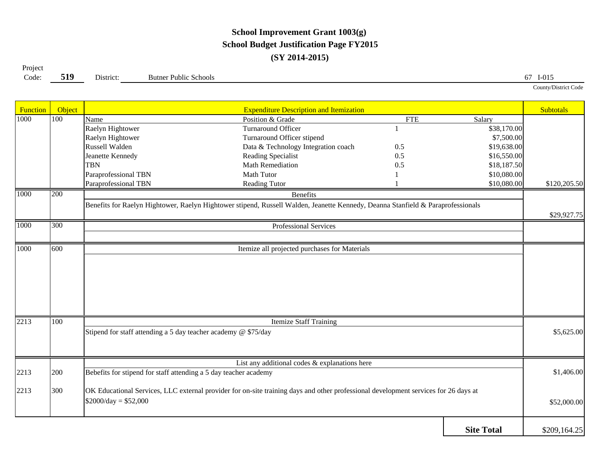## **School Improvement Grant 1003(g) School Budget Justification Page FY2015 (SY 2014-2015)**

**5199** District: Butner Public Schools 67 I-015 Project Code:

| Function | Object           |                                                                  | <b>Expenditure Description and Itemization</b>                                                                                      |            |                   | <b>Subtotals</b> |
|----------|------------------|------------------------------------------------------------------|-------------------------------------------------------------------------------------------------------------------------------------|------------|-------------------|------------------|
| 1000     | $\overline{100}$ | Name                                                             | Position & Grade                                                                                                                    | <b>FTE</b> | Salary            |                  |
|          |                  | Raelyn Hightower                                                 | Turnaround Officer                                                                                                                  |            | \$38,170.00       |                  |
|          |                  | Raelyn Hightower                                                 | Turnaround Officer stipend                                                                                                          |            | \$7,500.00        |                  |
|          |                  | Russell Walden                                                   | Data & Technology Integration coach                                                                                                 | 0.5        | \$19,638.00       |                  |
|          |                  | Jeanette Kennedy                                                 | Reading Specialist                                                                                                                  | 0.5        | \$16,550.00       |                  |
|          |                  | <b>TBN</b>                                                       | Math Remediation                                                                                                                    | 0.5        | \$18,187.50       |                  |
|          |                  | Paraprofessional TBN                                             | <b>Math Tutor</b>                                                                                                                   |            | \$10,080.00       |                  |
|          |                  | Paraprofessional TBN                                             | Reading Tutor                                                                                                                       |            | \$10,080.00       | \$120,205.50     |
| 1000     | 200              |                                                                  | <b>Benefits</b>                                                                                                                     |            |                   |                  |
|          |                  |                                                                  | Benefits for Raelyn Hightower, Raelyn Hightower stipend, Russell Walden, Jeanette Kennedy, Deanna Stanfield & Paraprofessionals     |            |                   |                  |
|          |                  |                                                                  |                                                                                                                                     |            |                   | \$29,927.75      |
| 1000     | 300              |                                                                  | Professional Services                                                                                                               |            |                   |                  |
|          |                  |                                                                  |                                                                                                                                     |            |                   |                  |
| 1000     | 600              |                                                                  | Itemize all projected purchases for Materials                                                                                       |            |                   |                  |
|          |                  |                                                                  |                                                                                                                                     |            |                   |                  |
|          |                  |                                                                  |                                                                                                                                     |            |                   |                  |
|          |                  |                                                                  |                                                                                                                                     |            |                   |                  |
|          |                  |                                                                  |                                                                                                                                     |            |                   |                  |
|          |                  |                                                                  |                                                                                                                                     |            |                   |                  |
|          |                  |                                                                  |                                                                                                                                     |            |                   |                  |
|          |                  |                                                                  |                                                                                                                                     |            |                   |                  |
| 2213     | 100              |                                                                  | <b>Itemize Staff Training</b>                                                                                                       |            |                   |                  |
|          |                  | Stipend for staff attending a 5 day teacher academy @ \$75/day   |                                                                                                                                     |            |                   | \$5,625.00       |
|          |                  |                                                                  |                                                                                                                                     |            |                   |                  |
|          |                  |                                                                  |                                                                                                                                     |            |                   |                  |
|          |                  |                                                                  | List any additional codes $&$ explanations here                                                                                     |            |                   |                  |
| 2213     | 200              | Bebefits for stipend for staff attending a 5 day teacher academy |                                                                                                                                     |            |                   | \$1,406.00       |
|          |                  |                                                                  |                                                                                                                                     |            |                   |                  |
| 2213     | 300              |                                                                  | OK Educational Services, LLC external provider for on-site training days and other professional development services for 26 days at |            |                   |                  |
|          |                  | $$2000/day = $52,000$                                            |                                                                                                                                     |            |                   | \$52,000.00      |
|          |                  |                                                                  |                                                                                                                                     |            |                   |                  |
|          |                  |                                                                  |                                                                                                                                     |            |                   |                  |
|          |                  |                                                                  |                                                                                                                                     |            | <b>Site Total</b> | \$209,164.25     |

County/District Code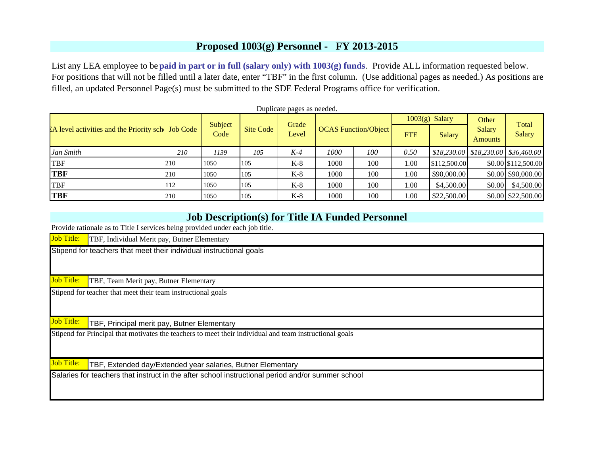#### **Proposed 1003(g) Personnel - FY 2013-2015**

List any LEA employee to be **paid in part or in full (salary only) with 1003(g) funds**. Provide ALL information requested below. For positions that will not be filled until a later date, enter "TBF" in the first column. (Use additional pages as needed.) As positions are filled, an updated Personnel Page(s) must be submitted to the SDE Federal Programs office for verification.

|                                                   |     |                 |           | Duplicate pages as needed. |                             |     |            | $1003(g)$ Salary | Other                    |                                                            |
|---------------------------------------------------|-----|-----------------|-----------|----------------------------|-----------------------------|-----|------------|------------------|--------------------------|------------------------------------------------------------|
| EA level activities and the Priority sch Job Code |     | Subject<br>Code | Site Code | Grade<br>Level             | <b>OCAS Function/Object</b> |     | <b>FTE</b> | Salary           | Salary<br><b>Amounts</b> | Total<br><b>Salary</b>                                     |
| Jan Smith                                         | 210 | 1139            | 105       | K-4                        | <i>1000</i>                 | 100 | 0.50       |                  |                          | $$18,230.00 \;   \; $18,230.00 \;   \; $36,460.00 \;   \;$ |
| <b>TBF</b>                                        | 210 | 1050            | 105       | $K-8$                      | 1000                        | 100 | 1.00       | \$112,500.00     |                          | \$0.00 \$112,500.00                                        |
| <b>TBF</b>                                        | 210 | 1050            | 105       | $K-8$                      | 1000                        | 100 | 1.00       | \$90,000.00      |                          | \$0.00 \$90,000.00                                         |
| <b>TBF</b>                                        | 112 | 1050            | 105       | $K-8$                      | 1000                        | 100 | 1.00       | \$4,500.00       | \$0.00                   | \$4,500.00                                                 |
| <b>TBF</b>                                        | 210 | 1050            | 105       | $K-8$                      | 1000                        | 100 | 1.00       | \$22,500.00      |                          | \$0.00 \$22,500.00                                         |

#### **Job Description(s) for Title IA Funded Personnel**

Provide rationale as to Title I services being provided under each job title.

Job Title: TBF, Individual Merit pay, Butner Elementary

Stipend for teachers that meet their individual instructional goals

Job Title:TBF, Team Merit pay, Butner Elementary

Stipend for teacher that meet their team instructional goals

Job Title:TBF, Principal merit pay, Butner Elementary

Stipend for Principal that motivates the teachers to meet their individual and team instructional goals

Job Title: TBF, Extended day/Extended year salaries, Butner Elementary

Salaries for teachers that instruct in the after school instructional period and/or summer school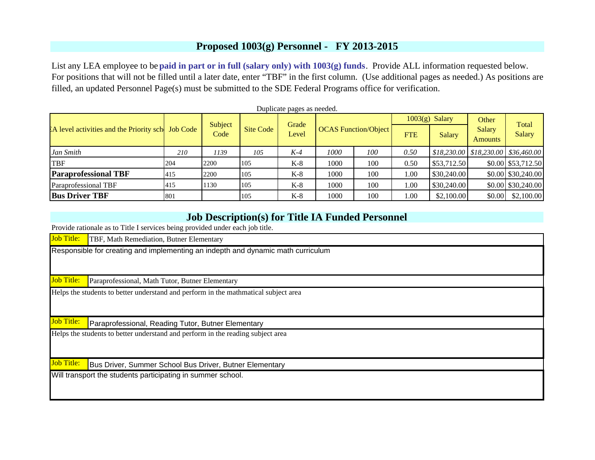#### **Proposed 1003(g) Personnel - FY 2013-2015**

List any LEA employee to be **paid in part or in full (salary only) with 1003(g) funds**. Provide ALL information requested below. For positions that will not be filled until a later date, enter "TBF" in the first column. (Use additional pages as needed.) As positions are filled, an updated Personnel Page(s) must be submitted to the SDE Federal Programs office for verification.

|                                                      |     |                 |           | Duplicate pages as needed. |      |                             |            | $1003(g)$ Salary | Other                    |                                                            |
|------------------------------------------------------|-----|-----------------|-----------|----------------------------|------|-----------------------------|------------|------------------|--------------------------|------------------------------------------------------------|
| EA level activities and the Priority school Job Code |     | Subject<br>Code | Site Code | Grade<br>Level             |      | <b>OCAS Function/Object</b> | <b>FTE</b> | Salary           | Salary<br><b>Amounts</b> | Total<br><b>Salary</b>                                     |
| Jan Smith                                            | 210 | 1139            | 105       | K-4                        | 1000 | 100                         | 0.50       |                  |                          | $$18,230.00 \;   \; $18,230.00 \;   \; $36,460.00 \;   \;$ |
| <b>TBF</b>                                           | 204 | 2200            | 105       | $K-8$                      | 1000 | 100                         | 0.50       | \$53,712.50      |                          | \$0.00 \$53,712.50                                         |
| <b>Paraprofessional TBF</b>                          | 415 | 2200            | 105       | $K-8$                      | 1000 | 100                         | 1.00       | \$30,240.00      |                          | \$0.00 \$30,240.00                                         |
| Paraprofessional TBF                                 | 415 | 1130            | 105       | $K-8$                      | 1000 | 100                         | 1.00       | \$30,240.00      |                          | \$0.00 \$30,240.00                                         |
| <b>Bus Driver TBF</b>                                | 801 |                 | 105       | $K-8$                      | 1000 | 100                         | 1.00       | \$2,100.00       | \$0.00                   | \$2,100.00                                                 |

#### **Job Description(s) for Title IA Funded Personnel**

Provide rationale as to Title I services being provided under each job title.

Job Title: TBF, Math Remediation, Butner Elementary

Responsible for creating and implementing an indepth and dynamic math curriculum

Job Title: Paraprofessional, Math Tutor, Butner Elementary

Helps the students to better understand and perform in the mathmatical subject area

Job Title:Paraprofessional, Reading Tutor, Butner Elementary

Helps the students to better understand and perform in the reading subject area

Job Title: Bus Driver, Summer School Bus Driver, Butner Elementary

Will transport the students participating in summer school.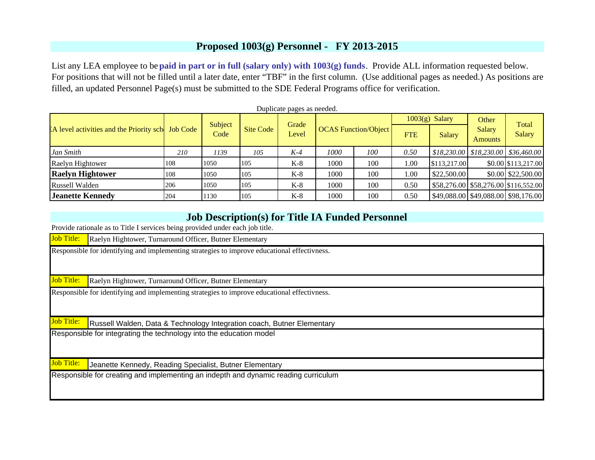#### **Proposed 1003(g) Personnel - FY 2013-2015**

List any LEA employee to be **paid in part or in full (salary only) with 1003(g) funds**. Provide ALL information requested below. For positions that will not be filled until a later date, enter "TBF" in the first column. (Use additional pages as needed.) As positions are filled, an updated Personnel Page(s) must be submitted to the SDE Federal Programs office for verification.

|                                                      |     |                 |           | Duplicate pages as needed. |      |                             |            |                  |                          |                                                            |
|------------------------------------------------------|-----|-----------------|-----------|----------------------------|------|-----------------------------|------------|------------------|--------------------------|------------------------------------------------------------|
|                                                      |     |                 |           |                            |      |                             |            | $1003(g)$ Salary | Other                    | Total                                                      |
| EA level activities and the Priority school Job Code |     | Subject<br>Code | Site Code | Grade<br>Level             |      | <b>OCAS Function/Object</b> | <b>FTE</b> | Salary           | Salary<br><b>Amounts</b> | <b>Salary</b>                                              |
| Jan Smith                                            | 210 | 1139            | 105       | K-4                        | 1000 | 100                         | 0.50       |                  |                          | $$18,230.00 \;   \; $18,230.00 \;   \; $36,460.00 \;   \;$ |
| Raelyn Hightower                                     | 108 | 1050            | 105       | $K-8$                      | 1000 | 100                         | 1.00       | \$113,217.00     |                          | \$0.00 \$113,217.00                                        |
| <b>Raelyn Hightower</b>                              | 108 | 1050            | 105       | $K-8$                      | 1000 | 100                         | 1.00       | \$22,500.00      |                          | \$0.00 \$22,500.00                                         |
| Russell Walden                                       | 206 | 1050            | 105       | $K-8$                      | 1000 | 100                         | 0.50       |                  |                          | \$58,276.00 \$58,276.00 \$116,552.00                       |
| Jeanette Kennedy                                     | 204 | 1130            | 105       | $K-8$                      | 1000 | 100                         | 0.50       |                  |                          | \$49,088.00 \$49,088.00 \$98,176.00                        |

#### **Job Description(s) for Title IA Funded Personnel**

Provide rationale as to Title I services being provided under each job title.

Job Title:Raelyn Hightower, Turnaround Officer, Butner Elementary

Responsible for identifying and implementing strategies to improve educational effectivness.

Job Title:Raelyn Hightower, Turnaround Officer, Butner Elementary

Responsible for identifying and implementing strategies to improve educational effectivness.

Job Title:Russell Walden, Data & Technology Integration coach, Butner Elementary

Responsible for integrating the technology into the education model

Job Title: Jeanette Kennedy, Reading Specialist, Butner Elementary

Responsible for creating and implementing an indepth and dynamic reading curriculum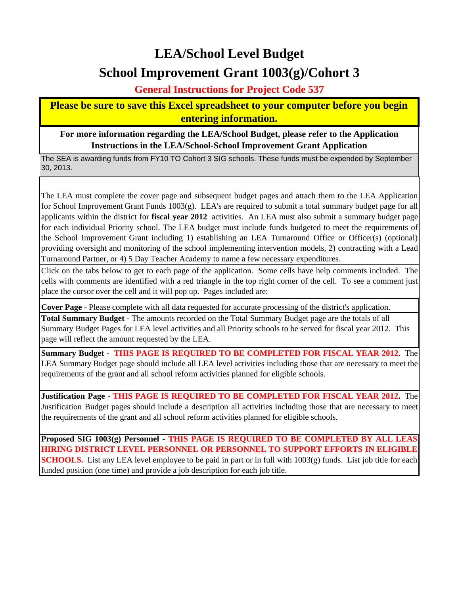# **LEA/School Level Budget School Improvement Grant 1003(g)/Cohort 3**

**General Instructions for Project Code 537**

**Please be sure to save this Excel spreadsheet to your computer before you begin entering information.**

**For more information regarding the LEA/School Budget, please refer to the Application Instructions in the LEA/School-School Improvement Grant Application**

The SEA is awarding funds from FY10 TO Cohort 3 SIG schools. These funds must be expended by September 30, 2013.

The LEA must complete the cover page and subsequent budget pages and attach them to the LEA Application for School Improvement Grant Funds 1003(g). LEA's are required to submit a total summary budget page for all applicants within the district for **fiscal year 2012** activities. An LEA must also submit a summary budget page for each individual Priority school. The LEA budget must include funds budgeted to meet the requirements of the School Improvement Grant including 1) establishing an LEA Turnaround Office or Officer(s) (optional) providing oversight and monitoring of the school implementing intervention models, 2) contracting with a Lead Turnaround Partner, or 4) 5 Day Teacher Academy to name a few necessary expenditures.

Click on the tabs below to get to each page of the application. Some cells have help comments included. The cells with comments are identified with a red triangle in the top right corner of the cell. To see a comment just place the cursor over the cell and it will pop up. Pages included are:

**Cover Page** - Please complete with all data requested for accurate processing of the district's application.

**Total Summary Budget -** The amounts recorded on the Total Summary Budget page are the totals of all Summary Budget Pages for LEA level activities and all Priority schools to be served for fiscal year 2012. This page will reflect the amount requested by the LEA.

**Summary Budget** - **THIS PAGE IS REQUIRED TO BE COMPLETED FOR FISCAL YEAR 2012**. The LEA Summary Budget page should include all LEA level activities including those that are necessary to meet the requirements of the grant and all school reform activities planned for eligible schools.

**Justification Page** - **THIS PAGE IS REQUIRED TO BE COMPLETED FOR FISCAL YEAR 2012.** The Justification Budget pages should include a description all activities including those that are necessary to meet the requirements of the grant and all school reform activities planned for eligible schools.

**Proposed SIG 1003(g) Personnel - THIS PAGE IS REQUIRED TO BE COMPLETED BY ALL LEAS HIRING DISTRICT LEVEL PERSONNEL OR PERSONNEL TO SUPPORT EFFORTS IN ELIGIBLE SCHOOLS.** List any LEA level employee to be paid in part or in full with 1003(g) funds. List job title for each funded position (one time) and provide a job description for each job title.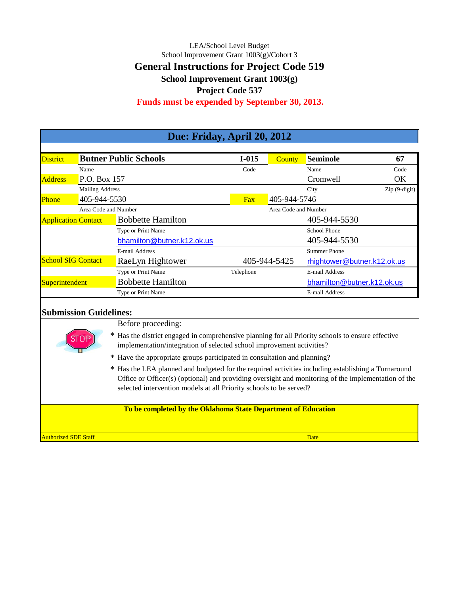### LEA/School Level Budget School Improvement Grant 1003(g)/Cohort 3 **General Instructions for Project Code 519 School Improvement Grant 1003(g) Project Code 537**

# **Funds must be expended by September 30, 2013.**

| Due: Friday, April 20, 2012 |                        |                              |           |                      |                             |                                      |  |  |  |  |
|-----------------------------|------------------------|------------------------------|-----------|----------------------|-----------------------------|--------------------------------------|--|--|--|--|
| <b>District</b>             |                        | <b>Butner Public Schools</b> | $I-015$   | <b>County</b>        | <b>Seminole</b>             | 67                                   |  |  |  |  |
|                             | Name                   |                              | Code      |                      | Name                        | Code                                 |  |  |  |  |
| <b>Address</b>              | P.O. Box 157           |                              |           |                      | Cromwell                    | OK                                   |  |  |  |  |
|                             | <b>Mailing Address</b> |                              |           |                      | City                        | $\operatorname{Zip}(9\text{-digit})$ |  |  |  |  |
| Phone                       | 405-944-5530           |                              | Fax       | 405-944-5746         |                             |                                      |  |  |  |  |
|                             | Area Code and Number   |                              |           | Area Code and Number |                             |                                      |  |  |  |  |
| <b>Application Contact</b>  |                        | <b>Bobbette Hamilton</b>     |           |                      | 405-944-5530                |                                      |  |  |  |  |
|                             |                        | Type or Print Name           |           |                      | <b>School Phone</b>         |                                      |  |  |  |  |
|                             |                        | bhamilton@butner.k12.ok.us   |           |                      | 405-944-5530                |                                      |  |  |  |  |
|                             |                        | E-mail Address               |           |                      | Summer Phone                |                                      |  |  |  |  |
| <b>School SIG Contact</b>   |                        | RaeLyn Hightower             |           | 405-944-5425         | rhightower@butner.k12.ok.us |                                      |  |  |  |  |
|                             |                        | Type or Print Name           | Telephone |                      | E-mail Address              |                                      |  |  |  |  |
| Superintendent              |                        | <b>Bobbette Hamilton</b>     |           |                      | bhamilton@butner.k12.ok.us  |                                      |  |  |  |  |
|                             |                        | Type or Print Name           |           |                      | E-mail Address              |                                      |  |  |  |  |
|                             |                        |                              |           |                      |                             |                                      |  |  |  |  |

#### **Submission Guidelines:**

Before proceeding:

\* Has the district engaged in comprehensive planning for all Priority schools to ensure effective implementation/integration of selected school improvement activities?

- \* Have the appropriate groups participated in consultation and planning?
- \* Has the LEA planned and budgeted for the required activities including establishing a Turnaround Office or Officer(s) (optional) and providing oversight and monitoring of the implementation of the selected intervention models at all Priority schools to be served?

#### **To be completed by the Oklahoma State Department of Education**

**Authorized SDE Staff Date of the Contract Contract Contract Contract Contract Contract Contract Contract Date Contract Contract Contract Contract Contract Contract Contract Contract Contract Contract Contract Contract Con**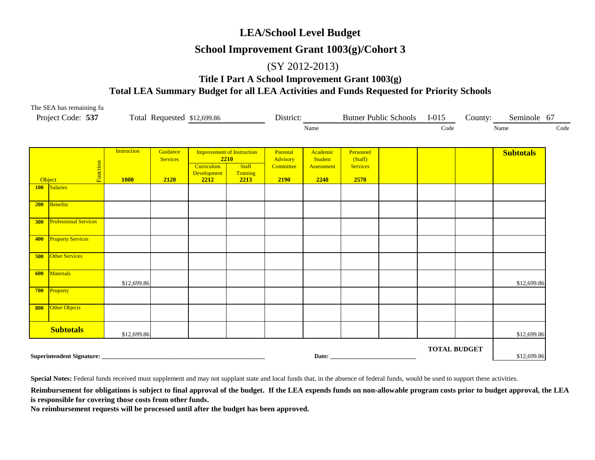#### **LEA/School Level Budget**

#### **School Improvement Grant 1003(g)/Cohort 3**

#### (SY 2012-2013)

#### **Title I Part A School Improvement Grant 1003(g) Total LEA Summary Budget for all LEA Activities and Funds Requested for Priority Schools**

|     | The SEA has remaining fu<br>Project Code: 537 |                                   |                                     | Total Requested \$12,699.86                                            |                                          | District:                                 |                                           |                                                 | Butner Public Schools I-015 |                     | County: | Seminole 67      |      |
|-----|-----------------------------------------------|-----------------------------------|-------------------------------------|------------------------------------------------------------------------|------------------------------------------|-------------------------------------------|-------------------------------------------|-------------------------------------------------|-----------------------------|---------------------|---------|------------------|------|
|     |                                               |                                   |                                     |                                                                        |                                          |                                           | Name                                      |                                                 |                             | Code                |         | Name             | Code |
|     | Function<br>Object                            | <b>Instruction</b><br><b>1000</b> | Guidance<br><b>Services</b><br>2120 | <b>Improvement of Instruction</b><br>Curriculum<br>Development<br>2212 | 2210<br><b>Staff</b><br>Training<br>2213 | Parental<br>Advisory<br>Committee<br>2190 | Academic<br>Student<br>Assessment<br>2240 | Personnel<br>(Staff)<br><b>Services</b><br>2570 |                             |                     |         | <b>Subtotals</b> |      |
|     | 100 Salaries                                  |                                   |                                     |                                                                        |                                          |                                           |                                           |                                                 |                             |                     |         |                  |      |
|     | 200 Benefits                                  |                                   |                                     |                                                                        |                                          |                                           |                                           |                                                 |                             |                     |         |                  |      |
| 300 | <b>Professional Services</b>                  |                                   |                                     |                                                                        |                                          |                                           |                                           |                                                 |                             |                     |         |                  |      |
|     | 400 Property Services                         |                                   |                                     |                                                                        |                                          |                                           |                                           |                                                 |                             |                     |         |                  |      |
| 500 | <b>Other Services</b>                         |                                   |                                     |                                                                        |                                          |                                           |                                           |                                                 |                             |                     |         |                  |      |
| 600 | Materials                                     | \$12,699.86                       |                                     |                                                                        |                                          |                                           |                                           |                                                 |                             |                     |         | \$12,699.86      |      |
|     | 700 Property                                  |                                   |                                     |                                                                        |                                          |                                           |                                           |                                                 |                             |                     |         |                  |      |
|     | 800 Other Objects                             |                                   |                                     |                                                                        |                                          |                                           |                                           |                                                 |                             |                     |         |                  |      |
|     | <b>Subtotals</b>                              | \$12,699.86                       |                                     |                                                                        |                                          |                                           |                                           |                                                 |                             |                     |         | \$12,699.86      |      |
|     |                                               |                                   |                                     |                                                                        |                                          |                                           |                                           | Date: New York Date:                            |                             | <b>TOTAL BUDGET</b> |         | \$12,699.86      |      |

**Special Notes:** Federal funds received must supplement and may not supplant state and local funds that, in the absence of federal funds, would be used to support these activities.

Reimbursement for obligations is subject to final approval of the budget. If the LEA expends funds on non-allowable program costs prior to budget approval, the LEA **is responsible for covering those costs from other funds.**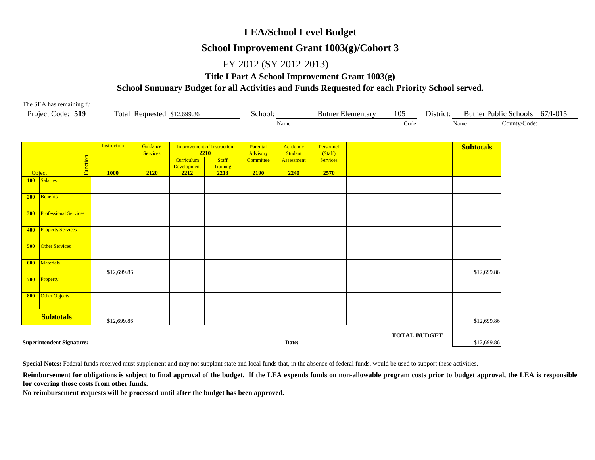#### **LEA/School Level Budget**

#### **School Improvement Grant 1003(g)/Cohort 3**

#### FY 2012 (SY 2012-2013)

#### **Title I Part A School Improvement Grant 1003(g)**

#### **School Summary Budget for all Activities and Funds Requested for each Priority School served.**

| The SEA has remaining fu                   |                    |                 |                             |                                   |                       |                       |                            |                          |                     |           |                                |              |  |
|--------------------------------------------|--------------------|-----------------|-----------------------------|-----------------------------------|-----------------------|-----------------------|----------------------------|--------------------------|---------------------|-----------|--------------------------------|--------------|--|
| Project Code: 519                          |                    |                 | Total Requested \$12,699.86 |                                   | School:               |                       |                            | <b>Butner Elementary</b> | 105                 | District: | Butner Public Schools 67/I-015 |              |  |
|                                            |                    |                 |                             |                                   |                       | Name                  |                            |                          | Code                |           | Name                           | County/Code: |  |
|                                            |                    |                 |                             |                                   |                       |                       |                            |                          |                     |           |                                |              |  |
|                                            |                    |                 |                             |                                   |                       |                       |                            |                          |                     |           |                                |              |  |
|                                            | <b>Instruction</b> | Guidance        |                             | <b>Improvement of Instruction</b> | Parental              | Academic              | Personnel                  |                          |                     |           | <b>Subtotals</b>               |              |  |
|                                            |                    | <b>Services</b> | Curriculum                  | 2210<br><b>Staff</b>              | Advisory<br>Committee | Student<br>Assessment | (Staff)<br><b>Services</b> |                          |                     |           |                                |              |  |
| Function                                   |                    |                 | Development                 | Training                          |                       |                       |                            |                          |                     |           |                                |              |  |
| Object                                     | <b>1000</b>        | 2120            | 2212                        | 2213                              | 2190                  | 2240                  | 2570                       |                          |                     |           |                                |              |  |
| Salaries<br>100                            |                    |                 |                             |                                   |                       |                       |                            |                          |                     |           |                                |              |  |
|                                            |                    |                 |                             |                                   |                       |                       |                            |                          |                     |           |                                |              |  |
| Benefits<br>200                            |                    |                 |                             |                                   |                       |                       |                            |                          |                     |           |                                |              |  |
|                                            |                    |                 |                             |                                   |                       |                       |                            |                          |                     |           |                                |              |  |
| <b>Professional Services</b><br><b>300</b> |                    |                 |                             |                                   |                       |                       |                            |                          |                     |           |                                |              |  |
|                                            |                    |                 |                             |                                   |                       |                       |                            |                          |                     |           |                                |              |  |
| <b>Property Services</b><br>400            |                    |                 |                             |                                   |                       |                       |                            |                          |                     |           |                                |              |  |
|                                            |                    |                 |                             |                                   |                       |                       |                            |                          |                     |           |                                |              |  |
| 500<br><b>Other Services</b>               |                    |                 |                             |                                   |                       |                       |                            |                          |                     |           |                                |              |  |
|                                            |                    |                 |                             |                                   |                       |                       |                            |                          |                     |           |                                |              |  |
| <b>Materials</b><br>600                    |                    |                 |                             |                                   |                       |                       |                            |                          |                     |           |                                |              |  |
|                                            | \$12,699.86        |                 |                             |                                   |                       |                       |                            |                          |                     |           | \$12,699.86                    |              |  |
| 700<br>Property                            |                    |                 |                             |                                   |                       |                       |                            |                          |                     |           |                                |              |  |
|                                            |                    |                 |                             |                                   |                       |                       |                            |                          |                     |           |                                |              |  |
| Other Objects<br>800                       |                    |                 |                             |                                   |                       |                       |                            |                          |                     |           |                                |              |  |
|                                            |                    |                 |                             |                                   |                       |                       |                            |                          |                     |           |                                |              |  |
| <b>Subtotals</b>                           |                    |                 |                             |                                   |                       |                       |                            |                          |                     |           |                                |              |  |
|                                            | \$12,699.86        |                 |                             |                                   |                       |                       |                            |                          |                     |           | \$12,699.86                    |              |  |
|                                            |                    |                 |                             |                                   |                       |                       |                            |                          | <b>TOTAL BUDGET</b> |           |                                |              |  |
| Superintendent Signature:                  |                    |                 |                             |                                   |                       | Date:                 |                            |                          |                     |           | \$12,699.86                    |              |  |

**Special Notes:** Federal funds received must supplement and may not supplant state and local funds that, in the absence of federal funds, would be used to support these activities.

Reimbursement for obligations is subject to final approval of the budget. If the LEA expends funds on non-allowable program costs prior to budget approval, the LEA is responsible **for covering those costs from other funds.**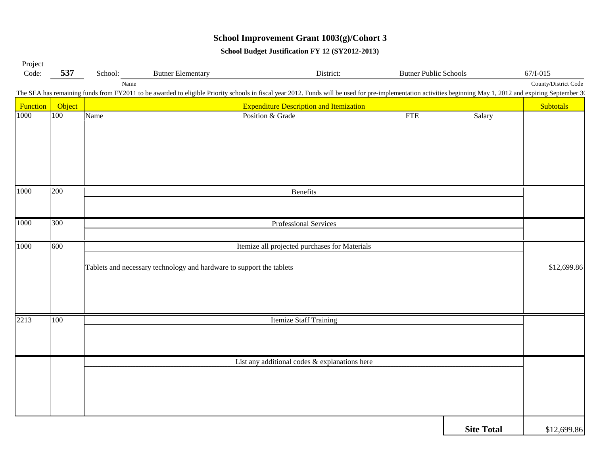## **School Improvement Grant 1003(g)/Cohort 3**

**School Budget Justification FY 12 (SY2012-2013)**

| Project  |        |                                                                      |                          |                                                                                                                                                                                                              |                              |                   |                      |  |  |  |  |  |  |
|----------|--------|----------------------------------------------------------------------|--------------------------|--------------------------------------------------------------------------------------------------------------------------------------------------------------------------------------------------------------|------------------------------|-------------------|----------------------|--|--|--|--|--|--|
| Code:    | 537    | School:                                                              | <b>Butner Elementary</b> | District:                                                                                                                                                                                                    | <b>Butner Public Schools</b> |                   | 67/I-015             |  |  |  |  |  |  |
|          |        | Name                                                                 |                          |                                                                                                                                                                                                              |                              |                   | County/District Code |  |  |  |  |  |  |
|          |        |                                                                      |                          | The SEA has remaining funds from FY2011 to be awarded to eligible Priority schools in fiscal year 2012. Funds will be used for pre-implementation activities beginning May 1, 2012 and expiring September 30 |                              |                   |                      |  |  |  |  |  |  |
| Function | Object |                                                                      |                          | <b>Expenditure Description and Itemization</b>                                                                                                                                                               |                              |                   | <b>Subtotals</b>     |  |  |  |  |  |  |
| 1000     | 100    | Name                                                                 |                          | Position & Grade                                                                                                                                                                                             | <b>FTE</b>                   | Salary            |                      |  |  |  |  |  |  |
|          |        |                                                                      |                          |                                                                                                                                                                                                              |                              |                   |                      |  |  |  |  |  |  |
|          |        |                                                                      |                          |                                                                                                                                                                                                              |                              |                   |                      |  |  |  |  |  |  |
|          |        |                                                                      |                          |                                                                                                                                                                                                              |                              |                   |                      |  |  |  |  |  |  |
|          |        |                                                                      |                          |                                                                                                                                                                                                              |                              |                   |                      |  |  |  |  |  |  |
|          |        |                                                                      |                          |                                                                                                                                                                                                              |                              |                   |                      |  |  |  |  |  |  |
|          |        |                                                                      |                          |                                                                                                                                                                                                              |                              |                   |                      |  |  |  |  |  |  |
| 1000     | 200    |                                                                      |                          | Benefits                                                                                                                                                                                                     |                              |                   |                      |  |  |  |  |  |  |
|          |        |                                                                      |                          |                                                                                                                                                                                                              |                              |                   |                      |  |  |  |  |  |  |
|          |        |                                                                      |                          |                                                                                                                                                                                                              |                              |                   |                      |  |  |  |  |  |  |
| 1000     | 300    |                                                                      |                          | Professional Services                                                                                                                                                                                        |                              |                   |                      |  |  |  |  |  |  |
|          |        |                                                                      |                          |                                                                                                                                                                                                              |                              |                   |                      |  |  |  |  |  |  |
| 1000     | 600    | Itemize all projected purchases for Materials                        |                          |                                                                                                                                                                                                              |                              |                   |                      |  |  |  |  |  |  |
|          |        | Tablets and necessary technology and hardware to support the tablets |                          |                                                                                                                                                                                                              |                              |                   |                      |  |  |  |  |  |  |
|          |        |                                                                      |                          |                                                                                                                                                                                                              |                              |                   |                      |  |  |  |  |  |  |
|          |        |                                                                      |                          |                                                                                                                                                                                                              |                              |                   |                      |  |  |  |  |  |  |
|          |        |                                                                      |                          |                                                                                                                                                                                                              |                              |                   |                      |  |  |  |  |  |  |
|          |        |                                                                      |                          |                                                                                                                                                                                                              |                              |                   |                      |  |  |  |  |  |  |
| 2213     | 100    |                                                                      |                          | <b>Itemize Staff Training</b>                                                                                                                                                                                |                              |                   |                      |  |  |  |  |  |  |
|          |        |                                                                      |                          |                                                                                                                                                                                                              |                              |                   |                      |  |  |  |  |  |  |
|          |        |                                                                      |                          |                                                                                                                                                                                                              |                              |                   |                      |  |  |  |  |  |  |
|          |        |                                                                      |                          |                                                                                                                                                                                                              |                              |                   |                      |  |  |  |  |  |  |
|          |        |                                                                      |                          | List any additional codes & explanations here                                                                                                                                                                |                              |                   |                      |  |  |  |  |  |  |
|          |        |                                                                      |                          |                                                                                                                                                                                                              |                              |                   |                      |  |  |  |  |  |  |
|          |        |                                                                      |                          |                                                                                                                                                                                                              |                              |                   |                      |  |  |  |  |  |  |
|          |        |                                                                      |                          |                                                                                                                                                                                                              |                              |                   |                      |  |  |  |  |  |  |
|          |        |                                                                      |                          |                                                                                                                                                                                                              |                              |                   |                      |  |  |  |  |  |  |
|          |        |                                                                      |                          |                                                                                                                                                                                                              |                              |                   |                      |  |  |  |  |  |  |
|          |        |                                                                      |                          |                                                                                                                                                                                                              |                              | <b>Site Total</b> | \$12,699.86          |  |  |  |  |  |  |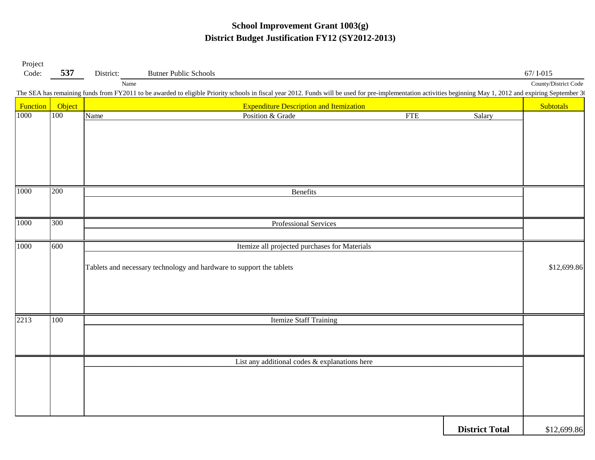#### **School Improvement Grant 1003(g) District Budget Justification FY12 (SY2012-2013)**

| Project  |        |                                               |                                                                                                                                                                                                              |            |                       |                                  |  |  |  |  |  |
|----------|--------|-----------------------------------------------|--------------------------------------------------------------------------------------------------------------------------------------------------------------------------------------------------------------|------------|-----------------------|----------------------------------|--|--|--|--|--|
| Code:    | 537    | District:<br>Name                             | <b>Butner Public Schools</b>                                                                                                                                                                                 |            |                       | 67/I-015<br>County/District Code |  |  |  |  |  |
|          |        |                                               | The SEA has remaining funds from FY2011 to be awarded to eligible Priority schools in fiscal year 2012. Funds will be used for pre-implementation activities beginning May 1, 2012 and expiring September 30 |            |                       |                                  |  |  |  |  |  |
| Function | Object |                                               | <b>Expenditure Description and Itemization</b>                                                                                                                                                               |            |                       | Subtotals                        |  |  |  |  |  |
| 1000     | 100    | Name                                          | Position & Grade                                                                                                                                                                                             | <b>FTE</b> | Salary                |                                  |  |  |  |  |  |
|          |        |                                               |                                                                                                                                                                                                              |            |                       |                                  |  |  |  |  |  |
|          |        |                                               |                                                                                                                                                                                                              |            |                       |                                  |  |  |  |  |  |
|          |        |                                               |                                                                                                                                                                                                              |            |                       |                                  |  |  |  |  |  |
|          |        |                                               |                                                                                                                                                                                                              |            |                       |                                  |  |  |  |  |  |
|          |        |                                               |                                                                                                                                                                                                              |            |                       |                                  |  |  |  |  |  |
| 1000     | 200    |                                               | Benefits                                                                                                                                                                                                     |            |                       |                                  |  |  |  |  |  |
|          |        |                                               |                                                                                                                                                                                                              |            |                       |                                  |  |  |  |  |  |
|          |        |                                               |                                                                                                                                                                                                              |            |                       |                                  |  |  |  |  |  |
| 1000     | 300    |                                               | Professional Services                                                                                                                                                                                        |            |                       |                                  |  |  |  |  |  |
|          |        |                                               |                                                                                                                                                                                                              |            |                       |                                  |  |  |  |  |  |
| 1000     | 600    | Itemize all projected purchases for Materials |                                                                                                                                                                                                              |            |                       |                                  |  |  |  |  |  |
|          |        |                                               |                                                                                                                                                                                                              |            |                       |                                  |  |  |  |  |  |
|          |        |                                               | Tablets and necessary technology and hardware to support the tablets                                                                                                                                         |            |                       |                                  |  |  |  |  |  |
|          |        |                                               |                                                                                                                                                                                                              |            |                       |                                  |  |  |  |  |  |
|          |        |                                               |                                                                                                                                                                                                              |            |                       |                                  |  |  |  |  |  |
|          |        |                                               |                                                                                                                                                                                                              |            |                       |                                  |  |  |  |  |  |
| 2213     | 100    |                                               | <b>Itemize Staff Training</b>                                                                                                                                                                                |            |                       |                                  |  |  |  |  |  |
|          |        |                                               |                                                                                                                                                                                                              |            |                       |                                  |  |  |  |  |  |
|          |        |                                               |                                                                                                                                                                                                              |            |                       |                                  |  |  |  |  |  |
|          |        |                                               | List any additional codes & explanations here                                                                                                                                                                |            |                       |                                  |  |  |  |  |  |
|          |        |                                               |                                                                                                                                                                                                              |            |                       |                                  |  |  |  |  |  |
|          |        |                                               |                                                                                                                                                                                                              |            |                       |                                  |  |  |  |  |  |
|          |        |                                               |                                                                                                                                                                                                              |            |                       |                                  |  |  |  |  |  |
|          |        |                                               |                                                                                                                                                                                                              |            |                       |                                  |  |  |  |  |  |
|          |        |                                               |                                                                                                                                                                                                              |            | <b>District Total</b> | \$12,699.86                      |  |  |  |  |  |